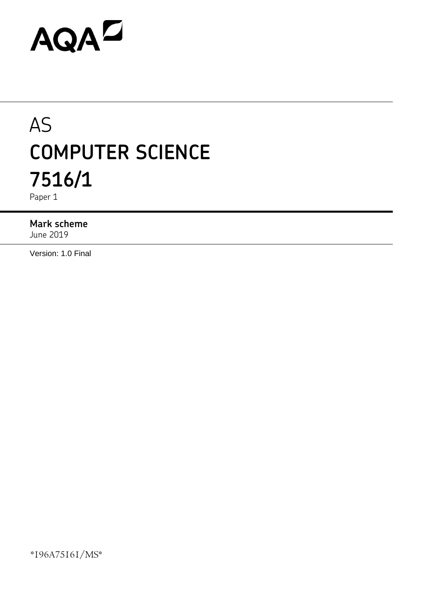# AQAD

# AS **COMPUTER SCIENCE 7516/1**

Paper 1

#### **Mark scheme**

June 2019

Version: 1.0 Final

\*196A75161/MS\*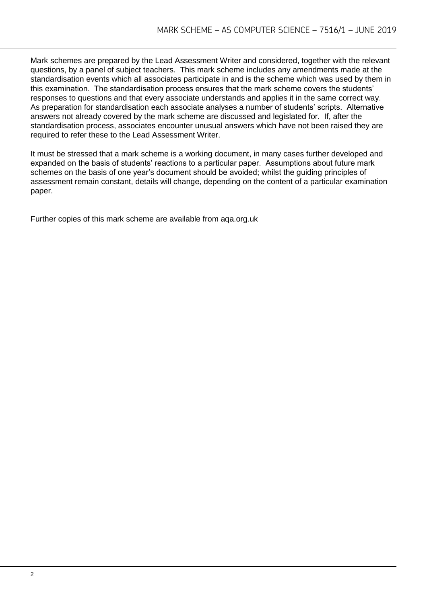Mark schemes are prepared by the Lead Assessment Writer and considered, together with the relevant questions, by a panel of subject teachers. This mark scheme includes any amendments made at the standardisation events which all associates participate in and is the scheme which was used by them in this examination. The standardisation process ensures that the mark scheme covers the students' responses to questions and that every associate understands and applies it in the same correct way. As preparation for standardisation each associate analyses a number of students' scripts. Alternative answers not already covered by the mark scheme are discussed and legislated for. If, after the standardisation process, associates encounter unusual answers which have not been raised they are required to refer these to the Lead Assessment Writer.

It must be stressed that a mark scheme is a working document, in many cases further developed and expanded on the basis of students' reactions to a particular paper. Assumptions about future mark schemes on the basis of one year's document should be avoided; whilst the guiding principles of assessment remain constant, details will change, depending on the content of a particular examination paper.

Further copies of this mark scheme are available from aqa.org.uk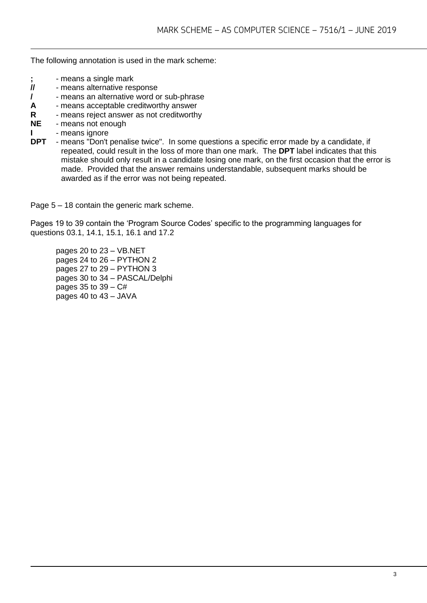The following annotation is used in the mark scheme:

- **;** means a single mark<br>**//** means alternative res
- **//** means alternative response
- **/**  means an alternative word or sub-phrase
- **A** means acceptable creditworthy answer
- **R** means reject answer as not creditworthy
- **NE** means not enough
- **I** means ignore
- **DPT** means "Don't penalise twice". In some questions a specific error made by a candidate, if repeated, could result in the loss of more than one mark. The **DPT** label indicates that this mistake should only result in a candidate losing one mark, on the first occasion that the error is made. Provided that the answer remains understandable, subsequent marks should be awarded as if the error was not being repeated.

Page 5 – 18 contain the generic mark scheme.

Pages 19 to 39 contain the 'Program Source Codes' specific to the programming languages for questions 03.1, 14.1, 15.1, 16.1 and 17.2

pages 20 to 23 – VB.NET pages 24 to 26 – PYTHON 2 pages 27 to 29 – PYTHON 3 pages 30 to 34 – PASCAL/Delphi pages 35 to  $39 - C#$ pages 40 to 43 – JAVA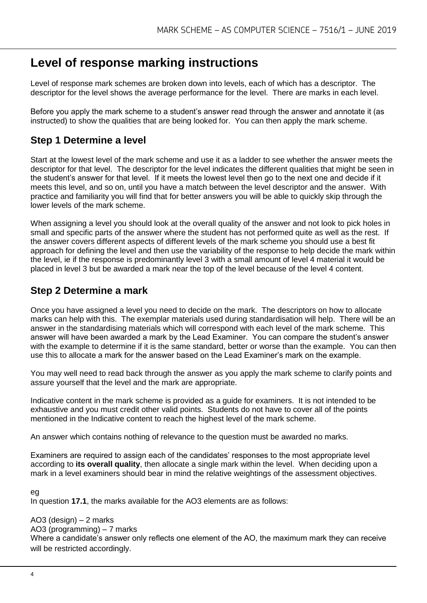# **Level of response marking instructions**

Level of response mark schemes are broken down into levels, each of which has a descriptor. The descriptor for the level shows the average performance for the level. There are marks in each level.

Before you apply the mark scheme to a student's answer read through the answer and annotate it (as instructed) to show the qualities that are being looked for. You can then apply the mark scheme.

# **Step 1 Determine a level**

Start at the lowest level of the mark scheme and use it as a ladder to see whether the answer meets the descriptor for that level. The descriptor for the level indicates the different qualities that might be seen in the student's answer for that level. If it meets the lowest level then go to the next one and decide if it meets this level, and so on, until you have a match between the level descriptor and the answer. With practice and familiarity you will find that for better answers you will be able to quickly skip through the lower levels of the mark scheme.

When assigning a level you should look at the overall quality of the answer and not look to pick holes in small and specific parts of the answer where the student has not performed quite as well as the rest. If the answer covers different aspects of different levels of the mark scheme you should use a best fit approach for defining the level and then use the variability of the response to help decide the mark within the level, ie if the response is predominantly level 3 with a small amount of level 4 material it would be placed in level 3 but be awarded a mark near the top of the level because of the level 4 content.

# **Step 2 Determine a mark**

Once you have assigned a level you need to decide on the mark. The descriptors on how to allocate marks can help with this. The exemplar materials used during standardisation will help. There will be an answer in the standardising materials which will correspond with each level of the mark scheme. This answer will have been awarded a mark by the Lead Examiner. You can compare the student's answer with the example to determine if it is the same standard, better or worse than the example. You can then use this to allocate a mark for the answer based on the Lead Examiner's mark on the example.

You may well need to read back through the answer as you apply the mark scheme to clarify points and assure yourself that the level and the mark are appropriate.

Indicative content in the mark scheme is provided as a guide for examiners. It is not intended to be exhaustive and you must credit other valid points. Students do not have to cover all of the points mentioned in the Indicative content to reach the highest level of the mark scheme.

An answer which contains nothing of relevance to the question must be awarded no marks.

Examiners are required to assign each of the candidates' responses to the most appropriate level according to **its overall quality**, then allocate a single mark within the level. When deciding upon a mark in a level examiners should bear in mind the relative weightings of the assessment objectives.

#### $e<sub>0</sub>$

In question **17.1**, the marks available for the AO3 elements are as follows:

#### AO3 (design) – 2 marks

#### AO3 (programming) – 7 marks

Where a candidate's answer only reflects one element of the AO, the maximum mark they can receive will be restricted accordingly.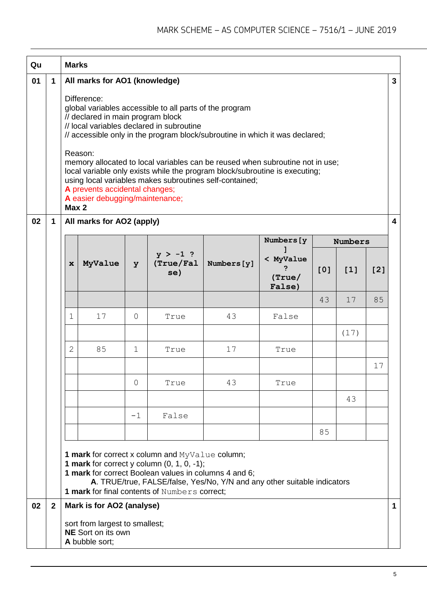| Qu |              | <b>Marks</b> |                                                                                                                                                                   |                |                                                                                                                                                                                                                                                                                                                                                                                                                 |             |                               |     |                |     |                         |
|----|--------------|--------------|-------------------------------------------------------------------------------------------------------------------------------------------------------------------|----------------|-----------------------------------------------------------------------------------------------------------------------------------------------------------------------------------------------------------------------------------------------------------------------------------------------------------------------------------------------------------------------------------------------------------------|-------------|-------------------------------|-----|----------------|-----|-------------------------|
| 01 | 1            | Max 2        | All marks for AO1 (knowledge)<br>Difference:<br>// declared in main program block<br>Reason:<br>A prevents accidental changes;<br>A easier debugging/maintenance; |                | global variables accessible to all parts of the program<br>// local variables declared in subroutine<br>// accessible only in the program block/subroutine in which it was declared;<br>memory allocated to local variables can be reused when subroutine not in use;<br>local variable only exists while the program block/subroutine is executing;<br>using local variables makes subroutines self-contained; |             |                               |     |                |     | $\mathbf{3}$            |
| 02 | 1            |              | All marks for AO2 (apply)                                                                                                                                         |                |                                                                                                                                                                                                                                                                                                                                                                                                                 |             |                               |     |                |     | $\overline{\mathbf{4}}$ |
|    |              |              |                                                                                                                                                                   |                |                                                                                                                                                                                                                                                                                                                                                                                                                 |             | Numbers [y                    |     | <b>Numbers</b> |     |                         |
|    |              | $\mathbf x$  | MyValue                                                                                                                                                           | y              | $y > -1$ ?<br>(True/Fa1)<br>se)                                                                                                                                                                                                                                                                                                                                                                                 | Numbers [y] | < MyValue<br>(True)<br>False) | [0] | [1]            | [2] |                         |
|    |              |              |                                                                                                                                                                   |                |                                                                                                                                                                                                                                                                                                                                                                                                                 |             |                               | 43  | 17             | 85  |                         |
|    |              | $\mathbf{1}$ | 17                                                                                                                                                                | $\overline{0}$ | True                                                                                                                                                                                                                                                                                                                                                                                                            | 43          | False                         |     |                |     |                         |
|    |              |              |                                                                                                                                                                   |                |                                                                                                                                                                                                                                                                                                                                                                                                                 |             |                               |     | (17)           |     |                         |
|    |              | $\mathbf{2}$ | 85                                                                                                                                                                | $\mathbf 1$    | True                                                                                                                                                                                                                                                                                                                                                                                                            | 17          | True                          |     |                |     |                         |
|    |              |              |                                                                                                                                                                   |                |                                                                                                                                                                                                                                                                                                                                                                                                                 |             |                               |     |                | 17  |                         |
|    |              |              |                                                                                                                                                                   | 0              | True                                                                                                                                                                                                                                                                                                                                                                                                            | 43          | True                          |     |                |     |                         |
|    |              |              |                                                                                                                                                                   |                |                                                                                                                                                                                                                                                                                                                                                                                                                 |             |                               |     | 43             |     |                         |
|    |              |              |                                                                                                                                                                   | $-1$           | False                                                                                                                                                                                                                                                                                                                                                                                                           |             |                               |     |                |     |                         |
|    |              |              |                                                                                                                                                                   |                |                                                                                                                                                                                                                                                                                                                                                                                                                 |             |                               | 85  |                |     |                         |
|    |              |              |                                                                                                                                                                   |                | <b>1 mark</b> for correct x column and MyValue column;<br>1 mark for correct y column $(0, 1, 0, -1)$ ;<br>1 mark for correct Boolean values in columns 4 and 6;<br>A. TRUE/true, FALSE/false, Yes/No, Y/N and any other suitable indicators<br>1 mark for final contents of Numbers correct;                                                                                                                   |             |                               |     |                |     |                         |
| 02 | $\mathbf{2}$ |              | Mark is for AO2 (analyse)<br>sort from largest to smallest;<br><b>NE</b> Sort on its own                                                                          |                |                                                                                                                                                                                                                                                                                                                                                                                                                 |             |                               |     |                |     | $\mathbf 1$             |
|    |              |              | A bubble sort;                                                                                                                                                    |                |                                                                                                                                                                                                                                                                                                                                                                                                                 |             |                               |     |                |     |                         |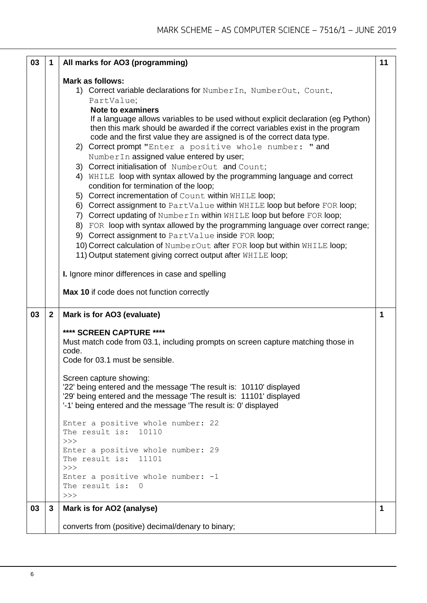| 03 | 1              | All marks for AO3 (programming)                                                                                                                                                                                                                                                                                                                                                                                                                                                                                                                                                                                                                                                                                                                                                                                                                                                                                                                                                                                                                                                                                                                                               | 11 |
|----|----------------|-------------------------------------------------------------------------------------------------------------------------------------------------------------------------------------------------------------------------------------------------------------------------------------------------------------------------------------------------------------------------------------------------------------------------------------------------------------------------------------------------------------------------------------------------------------------------------------------------------------------------------------------------------------------------------------------------------------------------------------------------------------------------------------------------------------------------------------------------------------------------------------------------------------------------------------------------------------------------------------------------------------------------------------------------------------------------------------------------------------------------------------------------------------------------------|----|
|    |                | Mark as follows:<br>1) Correct variable declarations for NumberIn, NumberOut, Count,<br>PartValue;<br><b>Note to examiners</b><br>If a language allows variables to be used without explicit declaration (eg Python)<br>then this mark should be awarded if the correct variables exist in the program<br>code and the first value they are assigned is of the correct data type.<br>2) Correct prompt "Enter a positive whole number: " and<br>NumberIn assigned value entered by user;<br>3) Correct initialisation of NumberOut and Count;<br>4) WHILE loop with syntax allowed by the programming language and correct<br>condition for termination of the loop;<br>5) Correct incrementation of Count within WHILE loop;<br>6) Correct assignment to PartValue within WHILE loop but before FOR loop;<br>7) Correct updating of Number In within WHILE loop but before FOR loop;<br>8) FOR loop with syntax allowed by the programming language over correct range;<br>9) Correct assignment to PartValue inside FOR loop;<br>10) Correct calculation of NumberOut after FOR loop but within WHILE loop;<br>11) Output statement giving correct output after WHILE loop; |    |
|    |                | I. Ignore minor differences in case and spelling                                                                                                                                                                                                                                                                                                                                                                                                                                                                                                                                                                                                                                                                                                                                                                                                                                                                                                                                                                                                                                                                                                                              |    |
|    |                | Max 10 if code does not function correctly                                                                                                                                                                                                                                                                                                                                                                                                                                                                                                                                                                                                                                                                                                                                                                                                                                                                                                                                                                                                                                                                                                                                    |    |
| 03 | $\overline{2}$ | Mark is for AO3 (evaluate)                                                                                                                                                                                                                                                                                                                                                                                                                                                                                                                                                                                                                                                                                                                                                                                                                                                                                                                                                                                                                                                                                                                                                    | 1  |
|    |                | **** SCREEN CAPTURE ****<br>Must match code from 03.1, including prompts on screen capture matching those in<br>code.<br>Code for 03.1 must be sensible.<br>Screen capture showing:<br>22' being entered and the message 'The result is: 10110' displayed<br>'29' being entered and the message 'The result is: 11101' displayed<br>'-1' being entered and the message 'The result is: 0' displayed                                                                                                                                                                                                                                                                                                                                                                                                                                                                                                                                                                                                                                                                                                                                                                           |    |
|    |                | Enter a positive whole number: 22<br>The result is: 10110<br>>><br>Enter a positive whole number: 29<br>The result is: 11101                                                                                                                                                                                                                                                                                                                                                                                                                                                                                                                                                                                                                                                                                                                                                                                                                                                                                                                                                                                                                                                  |    |
|    |                | >><br>Enter a positive whole number: $-1$<br>The result is:<br>$\Omega$<br>>>                                                                                                                                                                                                                                                                                                                                                                                                                                                                                                                                                                                                                                                                                                                                                                                                                                                                                                                                                                                                                                                                                                 |    |
| 03 | 3              | Mark is for AO2 (analyse)                                                                                                                                                                                                                                                                                                                                                                                                                                                                                                                                                                                                                                                                                                                                                                                                                                                                                                                                                                                                                                                                                                                                                     | 1  |
|    |                | converts from (positive) decimal/denary to binary;                                                                                                                                                                                                                                                                                                                                                                                                                                                                                                                                                                                                                                                                                                                                                                                                                                                                                                                                                                                                                                                                                                                            |    |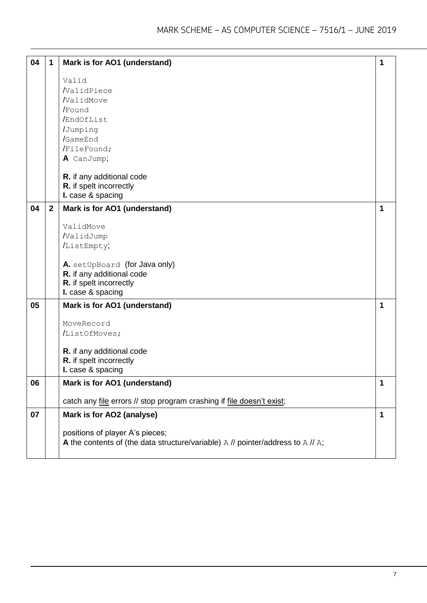| 04 | $\mathbf 1$    | Mark is for AO1 (understand)                                                           | 1 |
|----|----------------|----------------------------------------------------------------------------------------|---|
|    |                |                                                                                        |   |
|    |                | Valid                                                                                  |   |
|    |                | /ValidPiece                                                                            |   |
|    |                | /ValidMove                                                                             |   |
|    |                | /Found                                                                                 |   |
|    |                | /EndOfList                                                                             |   |
|    |                | /Jumping                                                                               |   |
|    |                | /GameEnd                                                                               |   |
|    |                | /FileFound;                                                                            |   |
|    |                | A CanJump;                                                                             |   |
|    |                |                                                                                        |   |
|    |                | R. if any additional code                                                              |   |
|    |                | R. if spelt incorrectly                                                                |   |
|    |                | I. case & spacing                                                                      |   |
| 04 | $\overline{2}$ | Mark is for AO1 (understand)                                                           | 1 |
|    |                |                                                                                        |   |
|    |                | ValidMove                                                                              |   |
|    |                | /ValidJump                                                                             |   |
|    |                | /ListEmpty;                                                                            |   |
|    |                |                                                                                        |   |
|    |                | A. setUpBoard (for Java only)                                                          |   |
|    |                | R. if any additional code                                                              |   |
|    |                | R. if spelt incorrectly                                                                |   |
|    |                | I. case & spacing                                                                      |   |
| 05 |                | Mark is for AO1 (understand)                                                           |   |
|    |                |                                                                                        |   |
|    |                | MoveRecord                                                                             |   |
|    |                | /ListOfMoves;                                                                          |   |
|    |                |                                                                                        |   |
|    |                | R. if any additional code                                                              |   |
|    |                | R. if spelt incorrectly                                                                |   |
|    |                | I. case & spacing                                                                      |   |
| 06 |                | Mark is for AO1 (understand)                                                           | 1 |
|    |                |                                                                                        |   |
|    |                | catch any file errors // stop program crashing if file doesn't exist;                  |   |
| 07 |                | Mark is for AO2 (analyse)                                                              | 1 |
|    |                |                                                                                        |   |
|    |                | positions of player A's pieces;                                                        |   |
|    |                | A the contents of (the data structure/variable) $A$ // pointer/address to $A$ // $A$ ; |   |
|    |                |                                                                                        |   |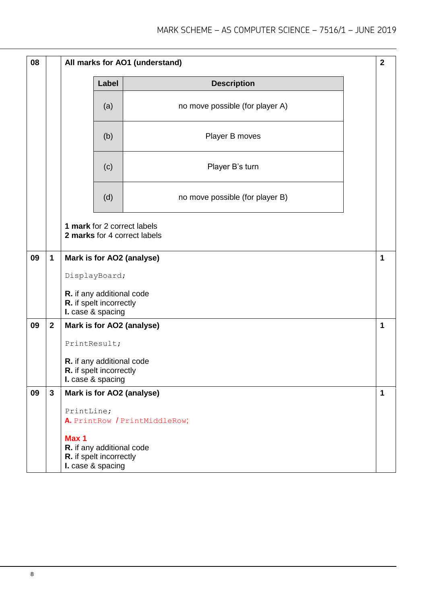| 08 |              | All marks for AO1 (understand)                                                     |                                 | $\mathbf{2}$ |
|----|--------------|------------------------------------------------------------------------------------|---------------------------------|--------------|
|    |              | Label                                                                              | <b>Description</b>              |              |
|    |              | (a)                                                                                | no move possible (for player A) |              |
|    |              | (b)                                                                                | Player B moves                  |              |
|    |              | (c)                                                                                | Player B's turn                 |              |
|    |              | (d)                                                                                | no move possible (for player B) |              |
|    |              | 1 mark for 2 correct labels<br>2 marks for 4 correct labels                        |                                 |              |
| 09 | 1            | Mark is for AO2 (analyse)                                                          |                                 | 1            |
|    |              | DisplayBoard;                                                                      |                                 |              |
|    |              | R. if any additional code<br>R. if spelt incorrectly<br>I. case & spacing          |                                 |              |
| 09 | $\mathbf{2}$ | Mark is for AO2 (analyse)                                                          |                                 | 1            |
|    |              | PrintResult;                                                                       |                                 |              |
|    |              | R. if any additional code<br>R. if spelt incorrectly<br>I. case & spacing          |                                 |              |
| 09 | 3            | Mark is for AO2 (analyse)                                                          |                                 | 1            |
|    |              | PrintLine;<br>A. PrintRow / PrintMiddleRow;                                        |                                 |              |
|    |              | Max 1<br>R. if any additional code<br>R. if spelt incorrectly<br>I. case & spacing |                                 |              |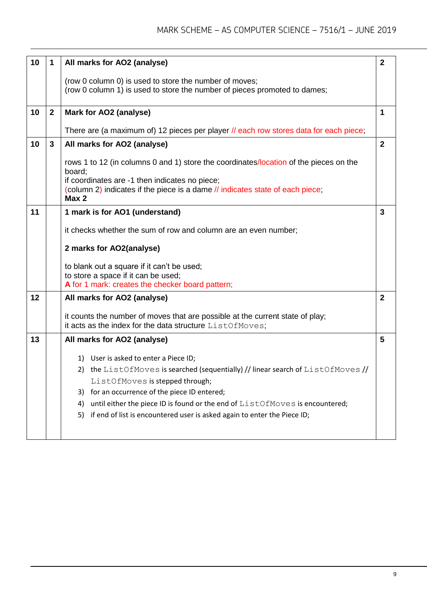| 10 | 1           | All marks for AO2 (analyse)                                                                                                                                                                                                                 | $\overline{2}$ |
|----|-------------|---------------------------------------------------------------------------------------------------------------------------------------------------------------------------------------------------------------------------------------------|----------------|
|    |             | (row 0 column 0) is used to store the number of moves;<br>(row 0 column 1) is used to store the number of pieces promoted to dames;                                                                                                         |                |
| 10 | $\mathbf 2$ | Mark for AO2 (analyse)                                                                                                                                                                                                                      | 1              |
|    |             | There are (a maximum of) 12 pieces per player // each row stores data for each piece;                                                                                                                                                       |                |
| 10 | 3           | All marks for AO2 (analyse)                                                                                                                                                                                                                 | $\mathbf{2}$   |
|    |             | rows 1 to 12 (in columns 0 and 1) store the coordinates/location of the pieces on the<br>board;<br>if coordinates are -1 then indicates no piece;<br>(column 2) indicates if the piece is a dame // indicates state of each piece;<br>Max 2 |                |
| 11 |             | 1 mark is for AO1 (understand)                                                                                                                                                                                                              | 3              |
|    |             | it checks whether the sum of row and column are an even number;                                                                                                                                                                             |                |
|    |             |                                                                                                                                                                                                                                             |                |
|    |             | 2 marks for AO2(analyse)                                                                                                                                                                                                                    |                |
|    |             | to blank out a square if it can't be used;                                                                                                                                                                                                  |                |
|    |             | to store a space if it can be used;<br>A for 1 mark: creates the checker board pattern;                                                                                                                                                     |                |
| 12 |             | All marks for AO2 (analyse)                                                                                                                                                                                                                 | $\mathbf{2}$   |
|    |             | it counts the number of moves that are possible at the current state of play;<br>it acts as the index for the data structure ListOfMoves;                                                                                                   |                |
| 13 |             | All marks for AO2 (analyse)                                                                                                                                                                                                                 | 5              |
|    |             | 1) User is asked to enter a Piece ID;                                                                                                                                                                                                       |                |
|    |             | 2) the ListOfMoves is searched (sequentially) // linear search of ListOfMoves //                                                                                                                                                            |                |
|    |             | ListOfMoves is stepped through;                                                                                                                                                                                                             |                |
|    |             | for an occurrence of the piece ID entered;<br>3)                                                                                                                                                                                            |                |
|    |             | until either the piece ID is found or the end of ListOfMoves is encountered;<br>4)                                                                                                                                                          |                |
|    |             | if end of list is encountered user is asked again to enter the Piece ID;<br>5)                                                                                                                                                              |                |
|    |             |                                                                                                                                                                                                                                             |                |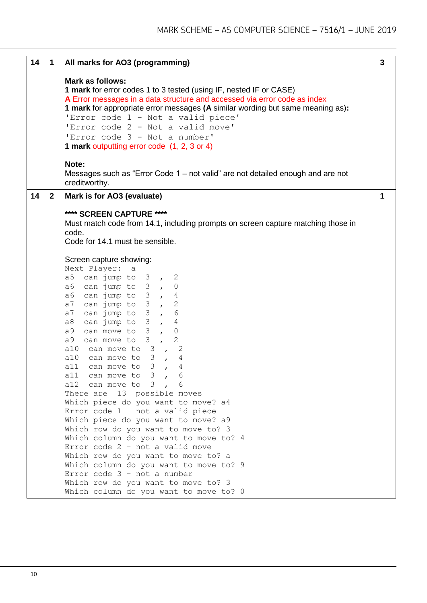| <b>Mark as follows:</b>                                                                                                                                                                                                                                                                                                                                                                                                                                                                                                                                                                                                                                                                                                                                                                                                                                                                                                                                                                        |                                                                                                                             |
|------------------------------------------------------------------------------------------------------------------------------------------------------------------------------------------------------------------------------------------------------------------------------------------------------------------------------------------------------------------------------------------------------------------------------------------------------------------------------------------------------------------------------------------------------------------------------------------------------------------------------------------------------------------------------------------------------------------------------------------------------------------------------------------------------------------------------------------------------------------------------------------------------------------------------------------------------------------------------------------------|-----------------------------------------------------------------------------------------------------------------------------|
| 1 mark for error codes 1 to 3 tested (using IF, nested IF or CASE)<br>A Error messages in a data structure and accessed via error code as index<br>1 mark for appropriate error messages (A similar wording but same meaning as):<br>'Error code 1 - Not a valid piece'<br>'Error code 2 - Not a valid move'<br>'Error code 3 - Not a number'<br>1 mark outputting error code (1, 2, 3 or 4)                                                                                                                                                                                                                                                                                                                                                                                                                                                                                                                                                                                                   |                                                                                                                             |
| Note:<br>Messages such as "Error Code 1 – not valid" are not detailed enough and are not<br>creditworthy.                                                                                                                                                                                                                                                                                                                                                                                                                                                                                                                                                                                                                                                                                                                                                                                                                                                                                      |                                                                                                                             |
| Mark is for AO3 (evaluate)                                                                                                                                                                                                                                                                                                                                                                                                                                                                                                                                                                                                                                                                                                                                                                                                                                                                                                                                                                     | 1                                                                                                                           |
| Must match code from 14.1, including prompts on screen capture matching those in<br>code.<br>Code for 14.1 must be sensible.<br>Screen capture showing:<br>Next Player:<br>а<br>a5 can jump to $3$ , 2<br>a6 can jump to $3$ , 0<br>a6 can jump to $3$ , $4$<br>can jump to $3$ , 2<br>a7<br>can jump to 3, 6<br>a7<br>can jump to $3$ , 4<br>a8<br>can move to $3$ ,<br>a9<br>$\overline{0}$<br>can move to $3$ ,<br>2<br>a9<br>$\overline{c}$<br>a10 can move to $3$ ,<br>alo can move to $3$ ,<br>4<br>all can move to 3<br>4<br>$\mathbf{r}$<br>all can move to 3<br>6<br>al2 can move to $3$ ,<br>There are 13 possible moves<br>Which piece do you want to move? a4<br>Error code $1 - not a valid piece$<br>Which piece do you want to move? a9<br>Which row do you want to move to? 3<br>Which column do you want to move to? 4<br>Error code $2 - not a valid move$<br>Which row do you want to move to? a<br>Which column do you want to move to? 9<br>Error code $3 - not a number$ |                                                                                                                             |
|                                                                                                                                                                                                                                                                                                                                                                                                                                                                                                                                                                                                                                                                                                                                                                                                                                                                                                                                                                                                | $\overline{2}$<br>**** SCREEN CAPTURE ****<br>Which row do you want to move to? 3<br>Which column do you want to move to? 0 |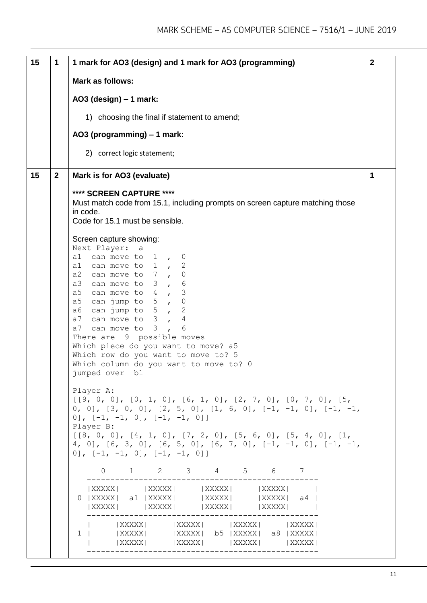| 15 | 1            | 1 mark for AO3 (design) and 1 mark for AO3 (programming)                                                                                                                                                                                                                                                                                                                                                                                                                                                                      | $\overline{2}$ |
|----|--------------|-------------------------------------------------------------------------------------------------------------------------------------------------------------------------------------------------------------------------------------------------------------------------------------------------------------------------------------------------------------------------------------------------------------------------------------------------------------------------------------------------------------------------------|----------------|
|    |              | Mark as follows:                                                                                                                                                                                                                                                                                                                                                                                                                                                                                                              |                |
|    |              | AO3 (design) $-1$ mark:                                                                                                                                                                                                                                                                                                                                                                                                                                                                                                       |                |
|    |              | 1) choosing the final if statement to amend;                                                                                                                                                                                                                                                                                                                                                                                                                                                                                  |                |
|    |              | AO3 (programming) - 1 mark:                                                                                                                                                                                                                                                                                                                                                                                                                                                                                                   |                |
|    |              | 2) correct logic statement;                                                                                                                                                                                                                                                                                                                                                                                                                                                                                                   |                |
| 15 | $\mathbf{2}$ | Mark is for AO3 (evaluate)                                                                                                                                                                                                                                                                                                                                                                                                                                                                                                    | 1              |
|    |              | **** SCREEN CAPTURE ****<br>Must match code from 15.1, including prompts on screen capture matching those<br>in code.<br>Code for 15.1 must be sensible.                                                                                                                                                                                                                                                                                                                                                                      |                |
|    |              | Screen capture showing:<br>Next Player:<br>а<br>can move to 1,<br>a1<br>$\overline{0}$<br>al can move to 1,<br>$\mathbf{2}$<br>a2 can move to $7$ ,<br>$\mathbf 0$<br>a3 can move to 3, 6<br>can move to $4$ , 3<br>a5<br>can jump to $5$ , 0<br>a5<br>can jump to 5,<br>$\mathbf{2}$<br>a6<br>a7 can move to $3$ ,<br>4<br>a7 can move to 3,<br>6<br>There are 9 possible moves<br>Which piece do you want to move? a5<br>Which row do you want to move to? 5<br>Which column do you want to move to? 0<br>jumped over<br>b1 |                |
|    |              | Player A:<br>$[9, 0, 0], [0, 1, 0], [6, 1, 0], [2, 7, 0], [0, 7, 0], [5, 0]$<br>0, 0], $[3, 0, 0]$ , $[2, 5, 0]$ , $[1, 6, 0]$ , $[-1, -1, 0]$ , $[-1, -1, 0]$<br>0], $[-1, -1, 0]$ , $[-1, -1, 0]$<br>Player B:<br>$[8, 0, 0], [4, 1, 0], [7, 2, 0], [5, 6, 0], [5, 4, 0], [1, 0]$<br>4, 0], $[6, 3, 0]$ , $[6, 5, 0]$ , $[6, 7, 0]$ , $[-1, -1, 0]$ , $[-1, -1, -1]$<br>0], $[-1, -1, 0]$ , $[-1, -1, 0]$ ]                                                                                                                 |                |
|    |              | $0 \t 1 \t 2 \t 3 \t 4 \t 5 \t 6 \t 7$                                                                                                                                                                                                                                                                                                                                                                                                                                                                                        |                |
|    |              | $  XXXXX   \t  XXXXX   \t  XXXXX   \t  XXXXX   \t  XXXXX  $<br>0   XXXXX   a1   XXXXX     XXXXXX   XXXXXX   a4  <br>$  XXXXX   \t  =   XXXXX   \t  =   XXXXX   \t  =   XXXXX   \t $                                                                                                                                                                                                                                                                                                                                           |                |
|    |              | $ XXXXX $ $ XXXX $ $ XXXX $ $ XXXX $<br>1   XXXXX   XXXXXX   b5   XXXXXX   a8   XXXXXX  <br>$  XXXXX   \t  XXXXX   \t  XXXXX   \t  XXXXX   \t  XXXXX  $                                                                                                                                                                                                                                                                                                                                                                       |                |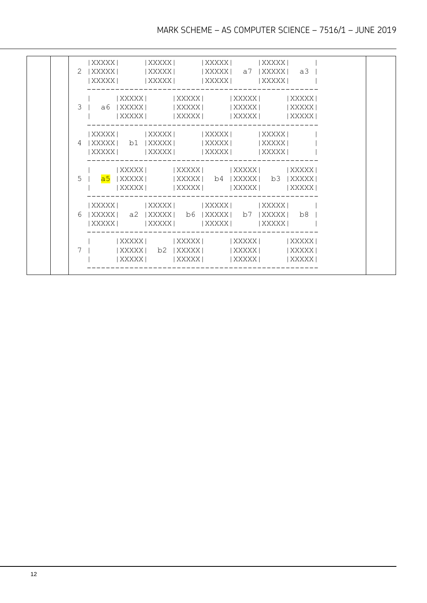|   |                                                               | $ XXXX $ $ XXXX $ $ XXXX $<br>$ XXXX $ $ XXXX $ $ XXXX $ $ XXXX $ $ XXXX $                                                                 | XXXXX |
|---|---------------------------------------------------------------|--------------------------------------------------------------------------------------------------------------------------------------------|-------|
|   | 3   a6  XXXXX   XXXXXX   XXXXXX   XXXXXX                      | $  XXXXX   \t  XXXXX   \t  XXXXX   \t  XXXXX   \t  XXXXX  $<br> XXXXX   XXXXXX   XXXXXX   XXXXXX                                           |       |
| 4 | XXXXX  b1 XXXXX   XXXXX   XXXXX                               | XXXXX   XXXXX   XXXXX   XXXXX <br> XXXXX   XXXXX   XXXXX   XXXXX                                                                           |       |
|   | 5   <mark>a5</mark>  XXXXX     XXXXXX  b4  XXXXXX  b3  XXXXXX | $  XXXXX   \t  XXXXX   \t  XXXXX   \t  XXXXX   \t  XXXXX  $<br>$  XXXXX   \t  XXXXX   \t  XXXXX   \t  XXXXX  $                             |       |
| 6 | XXXXX  a2  XXXXX  b6  XXXXX  b7  XXXXX  b8                    | XXXXX   XXXXXX   XXXXXX   XXXXX                                                                                                            |       |
| 7 |                                                               | $  XXXXX   \t  XXXXX   \t  XXXXX   \t  XXXXX   \t  XXXXX  $<br>$ XXXX $ b2 $ XXXX $ $ XXXX $ $ XXXX $<br> XXXXX   XXXXXX   XXXXXX   XXXXXX |       |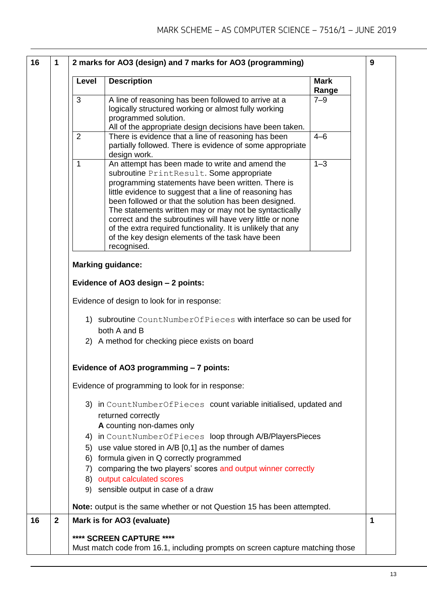|              | Level          | <b>Description</b>                                                                                                                                                                                                                                                                                                                                                                                                                                                                                                              | <b>Mark</b><br>Range |
|--------------|----------------|---------------------------------------------------------------------------------------------------------------------------------------------------------------------------------------------------------------------------------------------------------------------------------------------------------------------------------------------------------------------------------------------------------------------------------------------------------------------------------------------------------------------------------|----------------------|
|              | 3              | A line of reasoning has been followed to arrive at a<br>logically structured working or almost fully working<br>programmed solution.<br>All of the appropriate design decisions have been taken.                                                                                                                                                                                                                                                                                                                                | $7 - 9$              |
|              | $\overline{2}$ | There is evidence that a line of reasoning has been<br>partially followed. There is evidence of some appropriate<br>design work.                                                                                                                                                                                                                                                                                                                                                                                                | $4 - 6$              |
|              | $\mathbf{1}$   | An attempt has been made to write and amend the<br>subroutine PrintResult. Some appropriate<br>programming statements have been written. There is<br>little evidence to suggest that a line of reasoning has<br>been followed or that the solution has been designed.<br>The statements written may or may not be syntactically<br>correct and the subroutines will have very little or none<br>of the extra required functionality. It is unlikely that any<br>of the key design elements of the task have been<br>recognised. | $1 - 3$              |
|              |                |                                                                                                                                                                                                                                                                                                                                                                                                                                                                                                                                 |                      |
|              |                | <b>Marking guidance:</b>                                                                                                                                                                                                                                                                                                                                                                                                                                                                                                        |                      |
|              |                | Evidence of AO3 design - 2 points:                                                                                                                                                                                                                                                                                                                                                                                                                                                                                              |                      |
|              |                | Evidence of design to look for in response:                                                                                                                                                                                                                                                                                                                                                                                                                                                                                     |                      |
|              |                | 1) subroutine CountNumberOfPieces with interface so can be used for<br>both A and B                                                                                                                                                                                                                                                                                                                                                                                                                                             |                      |
|              |                | 2) A method for checking piece exists on board                                                                                                                                                                                                                                                                                                                                                                                                                                                                                  |                      |
|              |                | Evidence of AO3 programming - 7 points:                                                                                                                                                                                                                                                                                                                                                                                                                                                                                         |                      |
|              |                | Evidence of programming to look for in response:                                                                                                                                                                                                                                                                                                                                                                                                                                                                                |                      |
|              |                | 3) in CountNumberOfPieces count variable initialised, updated and<br>returned correctly<br>A counting non-dames only                                                                                                                                                                                                                                                                                                                                                                                                            |                      |
|              |                | 4) in CountNumberOfPieces loop through A/B/PlayersPieces<br>5) use value stored in A/B [0,1] as the number of dames<br>6) formula given in Q correctly programmed                                                                                                                                                                                                                                                                                                                                                               |                      |
|              |                | 7) comparing the two players' scores and output winner correctly<br>8) output calculated scores<br>9) sensible output in case of a draw                                                                                                                                                                                                                                                                                                                                                                                         |                      |
|              |                | Note: output is the same whether or not Question 15 has been attempted.                                                                                                                                                                                                                                                                                                                                                                                                                                                         |                      |
| $\mathbf{2}$ |                | Mark is for AO3 (evaluate)                                                                                                                                                                                                                                                                                                                                                                                                                                                                                                      |                      |
|              |                | **** SCREEN CAPTURE ****                                                                                                                                                                                                                                                                                                                                                                                                                                                                                                        |                      |
|              |                | Must match code from 16.1, including prompts on screen capture matching those                                                                                                                                                                                                                                                                                                                                                                                                                                                   |                      |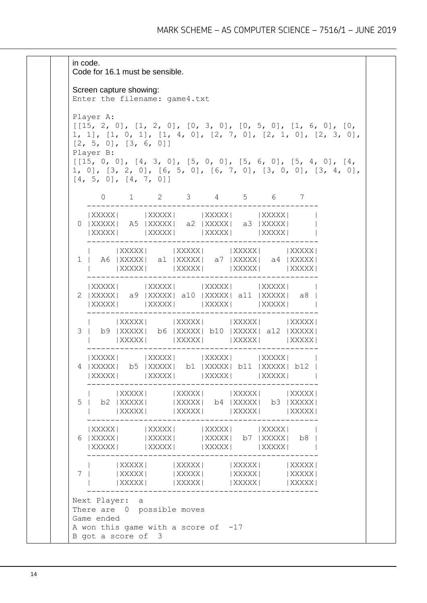in code. Code for 16.1 must be sensible. Screen capture showing: Enter the filename: game4.txt Player A: [[15, 2, 0], [1, 2, 0], [0, 3, 0], [0, 5, 0], [1, 6, 0], [0, 1, 1], [1, 0, 1], [1, 4, 0], [2, 7, 0], [2, 1, 0], [2, 3, 0], [2, 5, 0], [3, 6, 0]] Player B:  $[15, 0, 0], [4, 3, 0], [5, 0, 0], [5, 6, 0], [5, 4, 0], [4, 1]$ 1, 0], [3, 2, 0], [6, 5, 0], [6, 7, 0], [3, 0, 0], [3, 4, 0], [4, 5, 0], [4, 7, 0]] 0 1 2 3 4 5 6 7 ------------------------------------------------- |XXXXX| |XXXXXX| |XXXXXX| |XXXXX| | 0 |XXXXX| A5 |XXXXX| a2 |XXXXX| a3 |XXXXX| | |XXXXX| |XXXXXX| |XXXXXX| |XXXXX| | ------------------------------------------------- | |XXXXX| |XXXXX| |XXXXX| |XXXXX| 1 | A6 |XXXXX| a1 |XXXXX| a7 |XXXXX| a4 |XXXXX| | |XXXXX| |XXXXX| |XXXXX| |XXXXX| ------------------------------------------------- |XXXXX| |XXXXX| |XXXXX| |XXXXX| 2 |XXXXX| a9 |XXXXX| a10 |XXXXX| a11 |XXXXX| a8 | |XXXXX| |XXXXXX| |XXXXXX| |XXXXX| | ------------------------------------------------- | |XXXXX| |XXXXX| |XXXXX| |XXXXX| 3 | b9 |XXXXX| b6 |XXXXX| b10 |XXXXX| a12 |XXXXX| | |XXXXX| |XXXXX| |XXXXX| |XXXXX| -------------------------------------------------  $|XXXXX|$  |XXXXX|  $|XXXXX|$  |XXXXX| |XXXXX| 4 |XXXXX| b5 |XXXXX| b1 |XXXXX| b11 |XXXXX| b12 | |XXXXX| |XXXXX| |XXXXX| | ------------------------------------------------- | |XXXXX| |XXXXX| |XXXXX| |XXXXX| 5 | b2 |XXXXX| |XXXXX| b4 |XXXXX| b3 |XXXXX| | |XXXXX| |XXXXX| |XXXXX| |XXXXX| ------------------------------------------------- |XXXXX| |XXXXX| |XXXXX| |XXXXX| 6 |XXXXX| |XXXXX| |XXXXX| b7 |XXXXX| b8 | |XXXXX| |XXXXX| |XXXXX| |XXXXX| | ------------------------------------------------- | |XXXXX| |XXXXX| |XXXXX| |XXXXX| 7 | |XXXXX| |XXXXX| |XXXXX| |XXXXX| | |XXXXX| |XXXXX| |XXXXX| |XXXXX| ------------------------------------------------- Next Player: a There are 0 possible moves Game ended A won this game with a score of  $-17$ B got a score of 3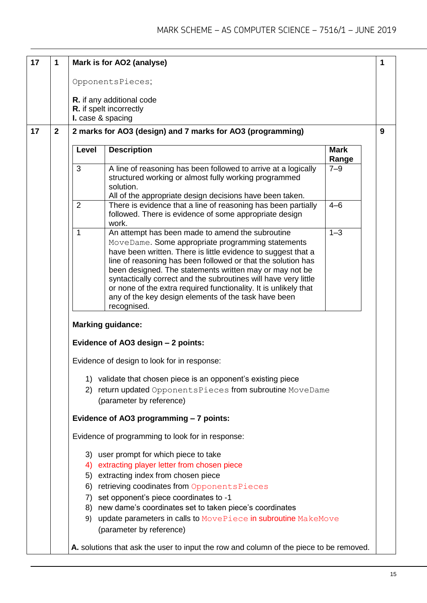| 17 | 1            |                   | Mark is for AO2 (analyse)                                                                                                                                                                                                                                                                                                                                                                                                                                                                                       |                      | 1 |
|----|--------------|-------------------|-----------------------------------------------------------------------------------------------------------------------------------------------------------------------------------------------------------------------------------------------------------------------------------------------------------------------------------------------------------------------------------------------------------------------------------------------------------------------------------------------------------------|----------------------|---|
|    |              |                   | OpponentsPieces;                                                                                                                                                                                                                                                                                                                                                                                                                                                                                                |                      |   |
|    |              |                   | R. if any additional code                                                                                                                                                                                                                                                                                                                                                                                                                                                                                       |                      |   |
|    |              | I. case & spacing | R. if spelt incorrectly                                                                                                                                                                                                                                                                                                                                                                                                                                                                                         |                      |   |
| 17 | $\mathbf{2}$ |                   | 2 marks for AO3 (design) and 7 marks for AO3 (programming)                                                                                                                                                                                                                                                                                                                                                                                                                                                      |                      | 9 |
|    |              | Level             | <b>Description</b>                                                                                                                                                                                                                                                                                                                                                                                                                                                                                              | <b>Mark</b><br>Range |   |
|    |              | 3                 | A line of reasoning has been followed to arrive at a logically<br>structured working or almost fully working programmed<br>solution.<br>All of the appropriate design decisions have been taken.                                                                                                                                                                                                                                                                                                                | $7 - 9$              |   |
|    |              | $\overline{2}$    | There is evidence that a line of reasoning has been partially<br>followed. There is evidence of some appropriate design<br>work.                                                                                                                                                                                                                                                                                                                                                                                | $4 - 6$              |   |
|    |              | 1                 | An attempt has been made to amend the subroutine<br>MoveDame. Some appropriate programming statements<br>have been written. There is little evidence to suggest that a<br>line of reasoning has been followed or that the solution has<br>been designed. The statements written may or may not be<br>syntactically correct and the subroutines will have very little<br>or none of the extra required functionality. It is unlikely that<br>any of the key design elements of the task have been<br>recognised. | $1 - 3$              |   |
|    |              |                   | <b>Marking guidance:</b>                                                                                                                                                                                                                                                                                                                                                                                                                                                                                        |                      |   |
|    |              |                   | Evidence of AO3 design - 2 points:                                                                                                                                                                                                                                                                                                                                                                                                                                                                              |                      |   |
|    |              |                   | Evidence of design to look for in response:                                                                                                                                                                                                                                                                                                                                                                                                                                                                     |                      |   |
|    |              | 1)<br>2)          | validate that chosen piece is an opponent's existing piece<br>return updated OpponentsPieces from subroutine MoveDame<br>(parameter by reference)                                                                                                                                                                                                                                                                                                                                                               |                      |   |
|    |              |                   | Evidence of AO3 programming - 7 points:                                                                                                                                                                                                                                                                                                                                                                                                                                                                         |                      |   |
|    |              |                   | Evidence of programming to look for in response:                                                                                                                                                                                                                                                                                                                                                                                                                                                                |                      |   |
|    |              | 4)<br>6)<br>7)    | 3) user prompt for which piece to take<br>extracting player letter from chosen piece<br>5) extracting index from chosen piece<br>retrieving coodinates from OpponentsPieces<br>set opponent's piece coordinates to -1<br>8) new dame's coordinates set to taken piece's coordinates<br>9) update parameters in calls to MovePiece in subroutine MakeMove<br>(parameter by reference)                                                                                                                            |                      |   |
|    |              |                   | A. solutions that ask the user to input the row and column of the piece to be removed.                                                                                                                                                                                                                                                                                                                                                                                                                          |                      |   |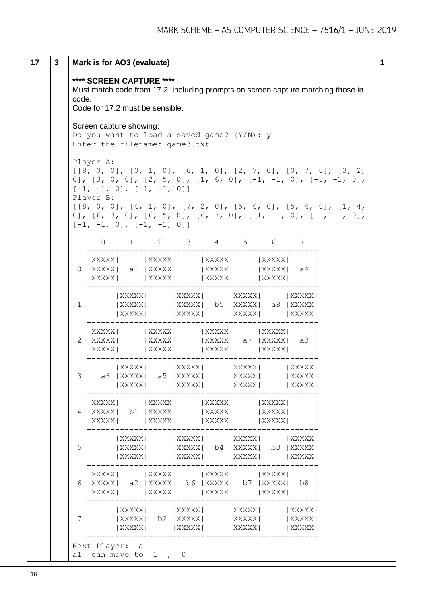```
17 3 Mark is for AO3 (evaluate)
         **** SCREEN CAPTURE ****
         Must match code from 17.2, including prompts on screen capture matching those in 
         code.
         Code for 17.2 must be sensible.
         Screen capture showing:
         Do you want to load a saved game? (Y/N): y
         Enter the filename: game3.txt
         Player A:
         [8, 0, 0], [0, 1, 0], [6, 1, 0], [2, 7, 0], [0, 7, 0], [3, 2, 1]0], [3, 0, 0], [2, 5, 0], [1, 6, 0], [-1, -1, 0], [-1, -1, 0],
         [-1, -1, 0], [-1, -1, 0]Player B:
         [8, 0, 0], [4, 1, 0], [7, 2, 0], [5, 6, 0], [5, 4, 0], [1, 4,0], [6, 3, 0], [6, 5, 0], [6, 7, 0], [-1, -1, 0], [-1, -1, 0],
         [-1, -1, 0], [-1, -1, 0] 0 1 2 3 4 5 6 7 
                   -------------------------------------------------
            |XXXXX| |XXXXX| |XXXXX| |XXXXX| |<br>|XXXXX| a1|XXXXX| |XXXXX| |XXXXX| a4|
          0 |XXXXX| a1 |XXXXX| |XXXXX| |XXXXX| a4 |
            |XXXXX| |XXXXX| |XXXXX| |
             -------------------------------------------------
                   | |XXXXX| |XXXXX| |XXXXX| |XXXXX|
          1 | |XXXXX| | |XXXXX| b5 |XXXXX| a8 |XXXXX|
                   | |XXXXX| |XXXXX| |XXXXX| |XXXXX|
              -------------------------------------------------
            |XXXXX| |XXXXX| |XXXXX| |
          2 |XXXXX| |XXXXX| |XXXXXX| a7 |XXXXX| a3 |
            |XXXXX| |XXXXXX| |XXXXX| |XXXXX| |
                     -------------------------------------------------
                  | |XXXXX| |XXXXX| |XXXXX| |XXXXX|
          3 | a6 |XXXXX| a5 |XXXXX| |XXXXX| |XXXXX|
             | |XXXXX| |XXXXX| |XXXXX| |XXXXX|
              -------------------------------------------------
            |\hspace{0.1cm}\text{XXXXX} \hspace{0.1cm}|\hspace{0.1cm} \text{XXXXX} \hspace{0.1cm}|\hspace{0.1cm} \text{XXXXX} \hspace{0.1cm}|\hspace{0.1cm} \text{XXXXX} \hspace{0.1cm}|\hspace{0.1cm} \text{XXXXX} \hspace{0.1cm}|\hspace{0.1cm}4 |XXXXX| b1 |XXXXX| |XXXXX| |XXXXX| |
            |XXXXX| |XXXXX| |XXXXX| |XXXXX| |XXXXX| |
                          -------------------------------------------------
                  | XXXXX | | | XXXXX | | | XXXXX | | | XXXXX | | | XXXXX |
          5 | |XXXXX| |XXXXX| b4 |XXXXX| b3 |XXXXX|
             | |XXXXX| |XXXXX| |XXXXX| |XXXXX|
             -------------------------------------------------
            |XXXXX| |XXXXX| |XXXXX| |
          6 |XXXXX| a2 |XXXXX| b6 |XXXXX| b7 |XXXXX| b8 |
            |XXXXX| |XXXXX| |XXXXX| |
          -------------------------------------------------
                  |\hspace{0.1cm}\textsf{XXX}| \hspace{1.5cm} |\hspace{0.1cm}\textsf{XXX}| \hspace{1.5cm} |\hspace{0.1cm}\textsf{XXX}| \hspace{1.5cm} |\hspace{0.1cm}\textsf{XXX}|7 | |XXXXX| b2 |XXXXX| |XXXXX| |XXXXX|
          | |XXXXX| |XXXXX| |XXXXX| |XXXXX|
             -------------------------------------------------
         Next Player: a
         a1 can move to 1 , 0
                                                                               1
```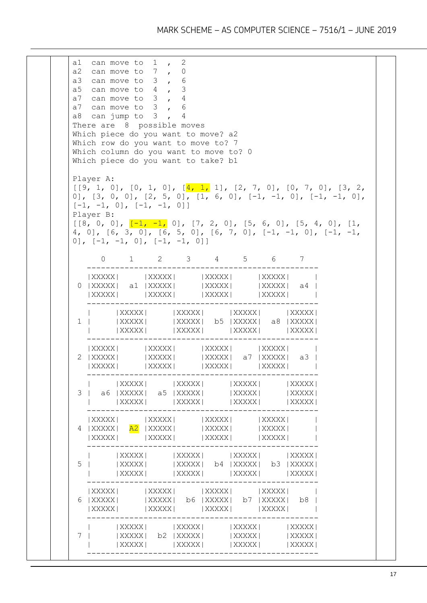a1 can move to 1 , 2 a2 can move to 7 , 0 a3 can move to 3 , 6 a5 can move to 4 , 3 a7 can move to 3 , 4 a7 can move to 3 , 6 a8 can jump to  $3$ ,  $4$ There are 8 possible moves Which piece do you want to move? a2 Which row do you want to move to? 7 Which column do you want to move to? 0 Which piece do you want to take? b1 Player A:  $[9, 1, 0], [0, 1, 0], [\frac{4, 1, 1}{2}, [2, 7, 0], [0, 7, 0], [3, 2, 1]$ 0],  $[3, 0, 0]$ ,  $[2, 5, 0]$ ,  $[1, 6, 0]$ ,  $[-1, -1, 0]$ ,  $[-1, -1, 0]$ ,  $[-1, -1, 0], [-1, -1, 0]$ Player B:  $[8, 0, 0], [-1, -1, 0], [7, 2, 0], [5, 6, 0], [5, 4, 0], [1, 1]$ 4, 0],  $[6, 3, 0]$ ,  $[6, 5, 0]$ ,  $[6, 7, 0]$ ,  $[-1, -1, 0]$ ,  $[-1, -1, 0]$ 0],  $[-1, -1, 0]$ ,  $[-1, -1, 0]$  0 1 2 3 4 5 6 7 -------------------------------------------------  $|\hspace{0.1cm}\text{XXXXX}\hspace{0.1cm}|\hspace{0.1cm} \hspace{0.1cm} \text{XXXXX}\hspace{0.1cm}|\hspace{0.1cm} \text{XXXXX}\hspace{0.1cm}|\hspace{0.1cm} \text{XXXXX}\hspace{0.1cm}|\hspace{0.1cm} \text{XXXXX}\hspace{0.1cm}|\hspace{0.1cm}$ 0 |XXXXX| a1 |XXXXX| |XXXXX| |XXXXX| a4 | |XXXXX| |XXXXX| |XXXXX| | ------------------------------------------------- | |XXXXX| |XXXXX| |XXXXX| |XXXXX| 1 | |XXXXX| |XXXXX| b5 |XXXXX| a8 |XXXXX| | |XXXXX| |XXXXX| |XXXXX| |XXXXX| ------------------------------------------------- |XXXXX| |XXXXXX| |XXXXXX| | 2 |XXXXX| |XXXXX| |XXXXXX| a7 |XXXXX| a3 | |XXXXX| |XXXXX| |XXXXX| |XXXXX| | ------------------------------------------------- | |XXXXX| |XXXXX| |XXXXX| |XXXXX| 3 | a6 |XXXXX| a5 |XXXXX| |XXXXX| |XXXXX| | |XXXXX| |XXXXX| |XXXXX| |XXXXX| -------------------------------------------------  $|\hspace{0.1cm}\textsf{XXXX}\hspace{0.1cm}|\hspace{0.1cm} \textsf{XXXX}\hspace{0.1cm}|\hspace{0.1cm} |\hspace{0.1cm}\textsf{XXXX}\hspace{0.1cm}|\hspace{0.1cm} |\hspace{0.1cm}\textsf{XXXX}\hspace{0.1cm}|\hspace{0.1cm}$ 4 |XXXXX| <mark>A2</mark> |XXXXX| |XXXXX| |XXXXX| | |XXXXX| |XXXXX| |XXXXX| |XXXXX| | ------------------------------------------------- | |XXXXX| |XXXXX| |XXXXX| |XXXXX| 5 | |XXXXX| |XXXXX| b4 |XXXXX| b3 |XXXXX| | |XXXXX| |XXXXX| |XXXXX| |XXXXX| ------------------------------------------------- |XXXXX| |XXXXX| |XXXXX| |XXXXX| | 6 |XXXXX| |XXXXX| b6 |XXXXX| b7 |XXXXX| b8 | |XXXXX| |XXXXX| |XXXXX| |XXXXX| | -------------------------------------------------  $|$  XXXXXX  $|$   $|$  XXXXXX  $|$   $|$  XXXXXX  $|$   $|$  XXXXXX  $|$ 7 | |XXXXX| b2 |XXXXX| |XXXXX| |XXXXX| | |XXXXX| |XXXXX| |XXXXX| |XXXXX| -------------------------------------------------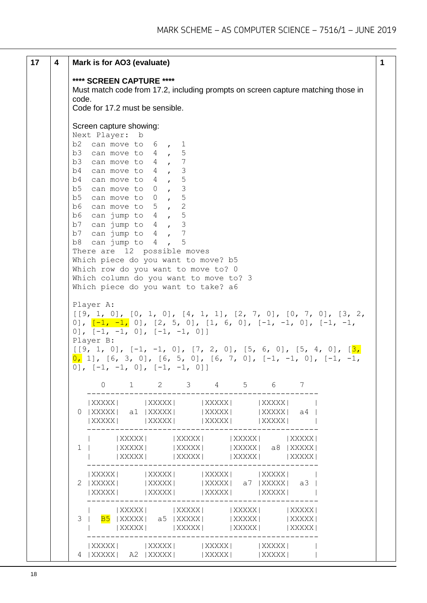| 17 | 4 | Mark is for AO3 (evaluate)<br>1                                                                                                                                                                                                                                                                                                                                                                                                                                                                                                                                |
|----|---|----------------------------------------------------------------------------------------------------------------------------------------------------------------------------------------------------------------------------------------------------------------------------------------------------------------------------------------------------------------------------------------------------------------------------------------------------------------------------------------------------------------------------------------------------------------|
|    |   | **** SCREEN CAPTURE ****<br>Must match code from 17.2, including prompts on screen capture matching those in<br>code.<br>Code for 17.2 must be sensible.                                                                                                                                                                                                                                                                                                                                                                                                       |
|    |   | Screen capture showing:<br>Next Player: b<br>b2 can move to $6$ , 1<br>b3 can move to $4$ , 5<br>b3 can move to $4$ , 7<br>b4 can move to $4$ , 3<br>b4 can move to $4$ , 5<br>b5 can move to $0$ , 3<br>b5 can move to $0, 5$<br>b6 can move to $5$ , 2<br>b6 can jump to $4$ , 5<br>b7 can jump to $4$ , 3<br>b7 can jump to $4$ , 7<br>b8 can jump to $4$ , 5<br>There are 12 possible moves<br>Which piece do you want to move? b5<br>Which row do you want to move to? 0<br>Which column do you want to move to? 3<br>Which piece do you want to take? a6 |
|    |   | Player A:<br>$[9, 1, 0], [0, 1, 0], [4, 1, 1], [2, 7, 0], [0, 7, 0], [3, 2, 1]$<br>0], $\left[\frac{-1}{-1}, \frac{-1}{-1}\right]$ , $\left[\frac{2}{5}, \frac{5}{0}\right]$ , $\left[\frac{1}{6}, \frac{6}{0}\right]$ , $\left[\frac{-1}{-1}, \frac{-1}{0}\right]$ , $\left[\frac{-1}{-1}, \frac{-1}{0}\right]$<br>$[0], [-1, -1, 0], [-1, -1, 0]]$<br>Player B:<br>$[9, 1, 0], [-1, -1, 0], [7, 2, 0], [5, 6, 0], [5, 4, 0], [3, 1]$<br>$[0, 1], [6, 3, 0], [6, 5, 0], [6, 7, 0], [-1, -1, 0], [-1, -1,$<br>0], $[-1, -1, 0]$ , $[-1, -1, 0]$ ]              |
|    |   | $1 \t2 \t3 \t4 \t5 \t6 \t7$<br>$\Omega$                                                                                                                                                                                                                                                                                                                                                                                                                                                                                                                        |
|    |   | $  XXXXX   \t    XXXXX   \t    XXXXX   \t    XXXXX   \t   $<br>$0$  XXXXX  a1  XXXXX   XXXXX <br>  XXXXX   a4<br>$ XXXX $ $ XXXX $<br>  XXXXX  <br>$ $ XXXXX $ $                                                                                                                                                                                                                                                                                                                                                                                               |
|    |   | $ XXXX $ $ XXXX $ $ XXXX $ $ XXXX $ $ XXXX $<br> XXXXX   XXXXXX   XXXXXX  a8  XXXXX <br>$1 \quad \blacksquare$<br> XXXXX   XXXXX   XXXXX   XXXXX                                                                                                                                                                                                                                                                                                                                                                                                               |
|    |   | $  XXXXX  $ $  XXXXX  $ $  XXXXX  $ $  XXXXX  $ $  XXXXX  $<br>2   XXXXX   XXXXXX   XXXXXX   a7   XXXXX   a3  <br>$  XXXXX   \t  XXXXX   \t  XXXXX   \t  XXXXX   \t  XXXXX  $                                                                                                                                                                                                                                                                                                                                                                                  |
|    |   | $ XXXX $ $ XXXX $ $ XXXX $ $ XXXX $<br>3   <mark>B5</mark>  XXXXX  a5  XXXXX     XXXXX <br>  XXXXX  <br>$  XXXXX   \t\t   XXXXX   \t\t   XXXXX  $<br>  XXXXX                                                                                                                                                                                                                                                                                                                                                                                                   |
|    |   | $  XXXXX   \t  XXXXX   \t  XXXXX   \t  XXXXX   \t  XXXXX  $<br>  XXXXX                                                                                                                                                                                                                                                                                                                                                                                                                                                                                         |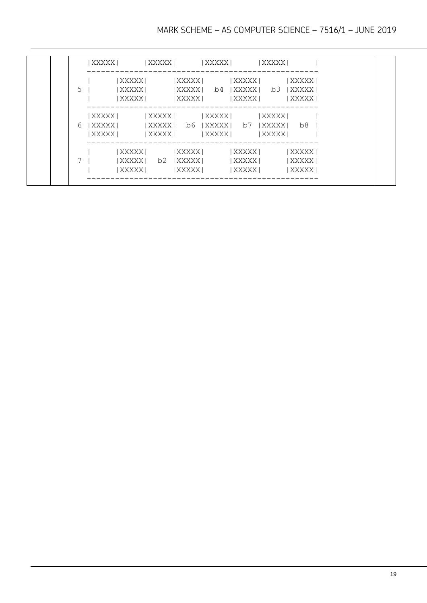|          | XXXXX                           |         | XXXXX            | XXXXX                                                |                    | XXXXX |
|----------|---------------------------------|---------|------------------|------------------------------------------------------|--------------------|-------|
| $5 \mid$ | XXXXX                           |         |                  | XXXXX  b4 XXXXX  b3 XXXXX                            |                    |       |
|          | XXXXX                           |         | XXXXX            | XXXXX                                                |                    | XXXXX |
|          | XXXXX  <br>6 IXXXXXI<br>  XXXXX | XXXXX   | XXXXX            | XXXXX  <br> XXXXX  b6 XXXXX  b7 XXXXX  b8<br>  XXXXX | XXXXX  <br>  XXXXX |       |
|          | XXXXX                           |         | XXXXX            | XXXXX                                                |                    | XXXXX |
|          |                                 |         | XXXXX  b2  XXXXX | XXXXX                                                |                    | XXXXX |
|          |                                 | XXXXX I | XXXXX            | XXXXX                                                |                    | XXXXX |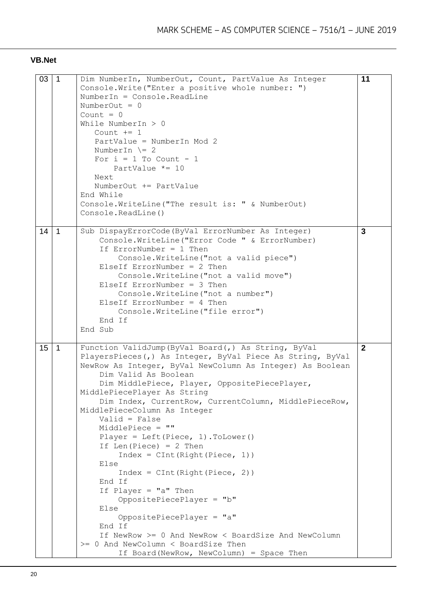#### **VB.Net**

| 03 | $\overline{1}$ | Dim NumberIn, NumberOut, Count, PartValue As Integer<br>Console. Write ("Enter a positive whole number: ")<br>NumberIn = Console. ReadLine<br>NumberOut = $0$<br>Count = $0$<br>While NumberIn $> 0$<br>Count $+= 1$<br>PartValue = NumberIn Mod 2<br>NumberIn $\geq 2$<br>For $i = 1$ To Count - 1<br>PartValue $*=10$<br>Next<br>NumberOut += PartValue<br>End While<br>Console. WriteLine ("The result is: " & NumberOut)<br>Console. ReadLine()                                                                                                                                                                                                                                                                                                                                                                                     | 11           |
|----|----------------|-----------------------------------------------------------------------------------------------------------------------------------------------------------------------------------------------------------------------------------------------------------------------------------------------------------------------------------------------------------------------------------------------------------------------------------------------------------------------------------------------------------------------------------------------------------------------------------------------------------------------------------------------------------------------------------------------------------------------------------------------------------------------------------------------------------------------------------------|--------------|
| 14 | $\mathbf{1}$   | Sub DispayErrorCode (ByVal ErrorNumber As Integer)<br>Console.WriteLine("Error Code " & ErrorNumber)<br>If ErrorNumber = $1$ Then<br>Console. WriteLine ("not a valid piece")<br>ElseIf ErrorNumber = $2$ Then<br>Console. WriteLine ("not a valid move")<br>ElseIf $ErrorNumber = 3$ Then<br>Console. WriteLine ("not a number")<br>ElseIf ErrorNumber = $4$ Then<br>Console. WriteLine ("file error")<br>End If<br>End Sub                                                                                                                                                                                                                                                                                                                                                                                                            | 3            |
| 15 | $\mathbf{1}$   | Function ValidJump (ByVal Board (, ) As String, ByVal<br>PlayersPieces(,) As Integer, ByVal Piece As String, ByVal<br>NewRow As Integer, ByVal NewColumn As Integer) As Boolean<br>Dim Valid As Boolean<br>Dim MiddlePiece, Player, OppositePiecePlayer,<br>MiddlePiecePlayer As String<br>Dim Index, CurrentRow, CurrentColumn, MiddlePieceRow,<br>MiddlePieceColumn As Integer<br>$Valid = False$<br>MiddlePiece = ""<br>Player = Left (Piece, $1)$ . ToLower ()<br>If Len(Piece) = $2$ Then<br>$Index = CInt(Right(Piece, 1))$<br>Else<br>$Index = CInt(Right(Piece, 2))$<br>End If<br>If Player = $"a"$ Then<br>OppositePiecePlayer = "b"<br>Else<br>OppositePiecePlayer = "a"<br>End If<br>If NewRow >= 0 And NewRow < BoardSize And NewColumn<br>>= 0 And NewColumn < BoardSize Then<br>If Board (NewRow, NewColumn) = Space Then | $\mathbf{2}$ |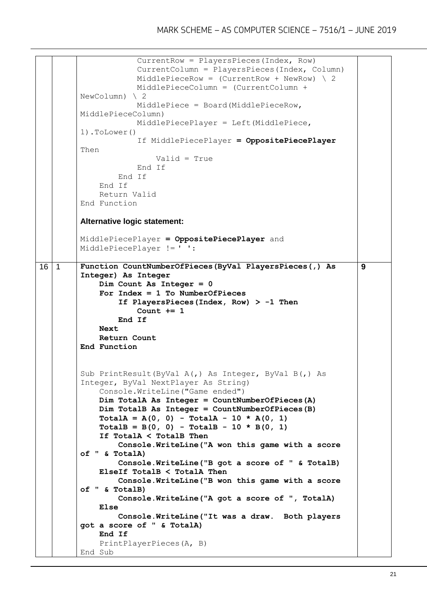```
 CurrentRow = PlayersPieces(Index, Row)
                      CurrentColumn = PlayersPieces(Index, Column)
                     MiddlePieceRow = (CurrentRow + NewRow) \setminus 2 MiddlePieceColumn = (CurrentColumn + 
         NewColumn) \ 2
                      MiddlePiece = Board(MiddlePieceRow, 
         MiddlePieceColumn)
                      MiddlePiecePlayer = Left(MiddlePiece, 
         1).ToLower()
                       If MiddlePiecePlayer = OppositePiecePlayer
         Then
                           Valid = True
                      End If
                  End If
              End If
              Return Valid
         End Function
         Alternative logic statement:
         MiddlePiecePlayer = OppositePiecePlayer and 
         MiddlePiecePlayer != ' ':
16 1 Function CountNumberOfPieces(ByVal PlayersPieces(,) As 
         Integer) As Integer
              Dim Count As Integer = 0
              For Index = 1 To NumberOfPieces
                  If PlayersPieces(Index, Row) > -1 Then
                      Count += 1
                  End If
              Next
              Return Count
         End Function
         Sub PrintResult(ByVal A(,) As Integer, ByVal B(,) As 
         Integer, ByVal NextPlayer As String)
              Console.WriteLine("Game ended")
              Dim TotalA As Integer = CountNumberOfPieces(A)
              Dim TotalB As Integer = CountNumberOfPieces(B)
              TotalA = A(0, 0) - TotalA - 10 * A(0, 1)
             TotalB = B(0, 0) - TotalB - 10 * B(0, 1) If TotalA < TotalB Then
                  Console.WriteLine("A won this game with a score 
         of " & TotalA)
                  Console.WriteLine("B got a score of " & TotalB)
              ElseIf TotalB < TotalA Then
                  Console.WriteLine("B won this game with a score 
         of " & TotalB)
                  Console.WriteLine("A got a score of ", TotalA)
              Else
                  Console.WriteLine("It was a draw. Both players 
         got a score of " & TotalA)
              End If
              PrintPlayerPieces(A, B)
         End Sub
                                                                       9
```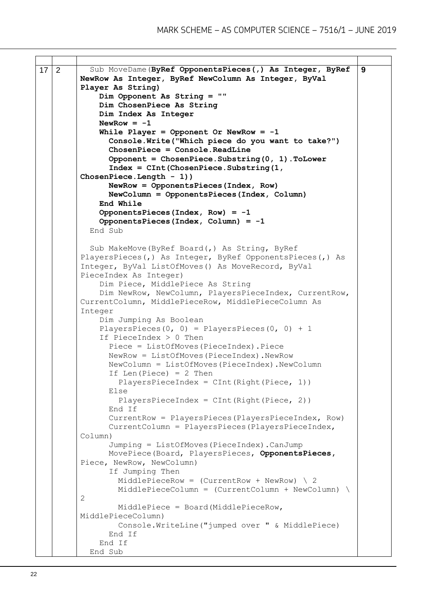```
17 2 Sub MoveDame(ByRef OpponentsPieces(,) As Integer, ByRef 
         NewRow As Integer, ByRef NewColumn As Integer, ByVal 
         Player As String)
              Dim Opponent As String = ""
              Dim ChosenPiece As String
              Dim Index As Integer
             NewRow = -1 While Player = Opponent Or NewRow = -1
                Console.Write("Which piece do you want to take?")
                ChosenPiece = Console.ReadLine
                Opponent = ChosenPiece.Substring(0, 1).ToLower
                Index = CInt(ChosenPiece.Substring(1, 
         ChosenPiece.Length - 1))
                NewRow = OpponentsPieces(Index, Row)
                NewColumn = OpponentsPieces(Index, Column)
              End While
              OpponentsPieces(Index, Row) = -1
              OpponentsPieces(Index, Column) = -1
            End Sub
            Sub MakeMove(ByRef Board(,) As String, ByRef 
         PlayersPieces(,) As Integer, ByRef OpponentsPieces(,) As 
         Integer, ByVal ListOfMoves() As MoveRecord, ByVal 
         PieceIndex As Integer)
              Dim Piece, MiddlePiece As String
              Dim NewRow, NewColumn, PlayersPieceIndex, CurrentRow, 
         CurrentColumn, MiddlePieceRow, MiddlePieceColumn As 
         Integer
              Dim Jumping As Boolean
             PlayersPieces(0, 0) = PlayersPieces(0, 0) + 1
              If PieceIndex > 0 Then
                Piece = ListOfMoves(PieceIndex).Piece
                NewRow = ListOfMoves(PieceIndex).NewRow
                NewColumn = ListOfMoves(PieceIndex).NewColumn
                If Len(Piece) = 2 Then
                 PlayersPieceIndex = CInt(Right(Piece, 1)) Else
                  PlayersPieceIndex = CInt(Right(Piece, 2))
                End If
                CurrentRow = PlayersPieces(PlayersPieceIndex, Row)
                CurrentColumn = PlayersPieces(PlayersPieceIndex, 
         Column)
                Jumping = ListOfMoves(PieceIndex).CanJump
                MovePiece(Board, PlayersPieces, OpponentsPieces,
         Piece, NewRow, NewColumn)
                If Jumping Then
                 MiddlePieceRow = (CurrentRow + NewRow) \setminus 2 MiddlePieceColumn = (CurrentColumn + NewColumn) \
         2
                  MiddlePiece = Board(MiddlePieceRow, 
         MiddlePieceColumn)
                  Console.WriteLine("jumped over " & MiddlePiece)
                End If
              End If
            End Sub
                                                                       9
```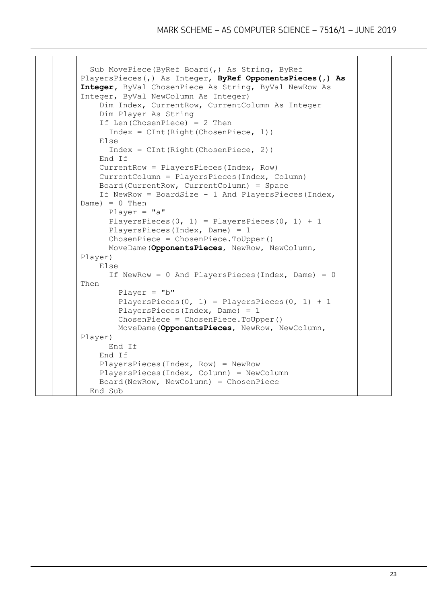```
 Sub MovePiece(ByRef Board(,) As String, ByRef 
PlayersPieces(,) As Integer, ByRef OpponentsPieces(,) As 
Integer, ByVal ChosenPiece As String, ByVal NewRow As 
Integer, ByVal NewColumn As Integer)
     Dim Index, CurrentRow, CurrentColumn As Integer
     Dim Player As String
     If Len(ChosenPiece) = 2 Then
      Index = CInt(Right(ChosenPiece, 1)) Else
      Index = CInt(Right(ChosenPiece, 2)) End If
     CurrentRow = PlayersPieces(Index, Row)
     CurrentColumn = PlayersPieces(Index, Column)
    Board(CurrentRow, CurrentColumn) = Space
     If NewRow = BoardSize - 1 And PlayersPieces(Index, 
Dame) = 0 Then
       Player = "a"
      PlayersPieces(0, 1) = PlayersPieces(0, 1) + 1
       PlayersPieces(Index, Dame) = 1
       ChosenPiece = ChosenPiece.ToUpper()
       MoveDame(OpponentsPieces, NewRow, NewColumn, 
Player)
    Else
      If NewRow = 0 And PlayersPieces(Index, Dame) = 0Then
        Player = "b"
        PlayersPieces(0, 1) = PlayersPieces(0, 1) + 1
         PlayersPieces(Index, Dame) = 1
         ChosenPiece = ChosenPiece.ToUpper()
         MoveDame(OpponentsPieces, NewRow, NewColumn, 
Player)
       End If
     End If
     PlayersPieces(Index, Row) = NewRow
     PlayersPieces(Index, Column) = NewColumn
     Board(NewRow, NewColumn) = ChosenPiece
   End Sub
```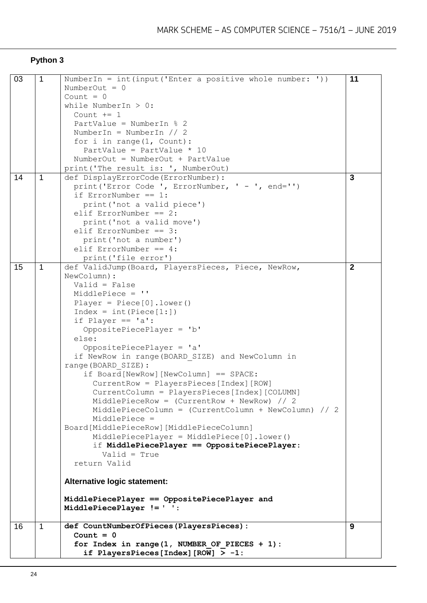# **Python 3**

| 03 | $\mathbf{1}$ | NumberIn = $int (input('Enter a positive whole number: '))$ | 11           |
|----|--------------|-------------------------------------------------------------|--------------|
|    |              | NumberOut = $0$                                             |              |
|    |              | Count $= 0$                                                 |              |
|    |              | while NumberIn $> 0$ :<br>Count $+= 1$                      |              |
|    |              | PartValue = NumberIn $% 2$                                  |              |
|    |              | NumberIn = NumberIn $// 2$                                  |              |
|    |              | for $i$ in range(1, Count):                                 |              |
|    |              | PartValue = PartValue $* 10$                                |              |
|    |              | NumberOut = NumberOut + PartValue                           |              |
|    |              | print ('The result is: ', NumberOut)                        |              |
| 14 | 1            | def DisplayErrorCode(ErrorNumber):                          | 3            |
|    |              | print ('Error Code ', ErrorNumber, ' - ', end='')           |              |
|    |              | if ErrorNumber == $1$ :                                     |              |
|    |              | print ('not a valid piece')                                 |              |
|    |              | elif ErrorNumber == $2$ :                                   |              |
|    |              | print ('not a valid move')                                  |              |
|    |              | elif ErrorNumber == $3:$                                    |              |
|    |              | print ('not a number')                                      |              |
|    |              | elif ErrorNumber == $4$ :                                   |              |
|    |              | print ('file error')                                        |              |
| 15 | 1            | def ValidJump (Board, PlayersPieces, Piece, NewRow,         | $\mathbf{2}$ |
|    |              | NewColumn) :                                                |              |
|    |              | $Valid = False$                                             |              |
|    |              | MiddlePiece = ''                                            |              |
|    |              | Player = $Piece[0]$ . lower()                               |              |
|    |              | $Index = int(Piece[1:])$                                    |              |
|    |              | if Player == $'a':$                                         |              |
|    |              | OppositePiecePlayer = 'b'                                   |              |
|    |              | else:                                                       |              |
|    |              | OppositePiecePlayer = 'a'                                   |              |
|    |              | if NewRow in range (BOARD SIZE) and NewColumn in            |              |
|    |              | range (BOARD SIZE) :                                        |              |
|    |              | if Board [NewRow] [NewColumn] == SPACE:                     |              |
|    |              | CurrentRow = PlayersPieces [Index] [ROW]                    |              |
|    |              | CurrentColumn = PlayersPieces[Index][COLUMN]                |              |
|    |              | MiddlePieceRow = $(CurrentRow + NewRow)$ // 2               |              |
|    |              | MiddlePieceColumn = (CurrentColumn + NewColumn) // 2        |              |
|    |              | MiddlePiece =                                               |              |
|    |              | Board[MiddlePieceRow][MiddlePieceColumn]                    |              |
|    |              | $MiddlePiecePlayer = MiddlePiece[0].lower()$                |              |
|    |              | if MiddlePiecePlayer == OppositePiecePlayer:                |              |
|    |              | $Valid = True$                                              |              |
|    |              | return Valid                                                |              |
|    |              |                                                             |              |
|    |              | Alternative logic statement:                                |              |
|    |              | MiddlePiecePlayer == OppositePiecePlayer and                |              |
|    |              | MiddlePiecePlayer != ' ':                                   |              |
|    |              |                                                             |              |
| 16 | $\mathbf{1}$ | def CountNumberOfPieces(PlayersPieces):                     | 9            |
|    |              | Count = $0$                                                 |              |
|    |              | for Index in range $(1,$ NUMBER OF PIECES + 1):             |              |
|    |              | if PlayersPieces[Index][ROW] $> -1$ :                       |              |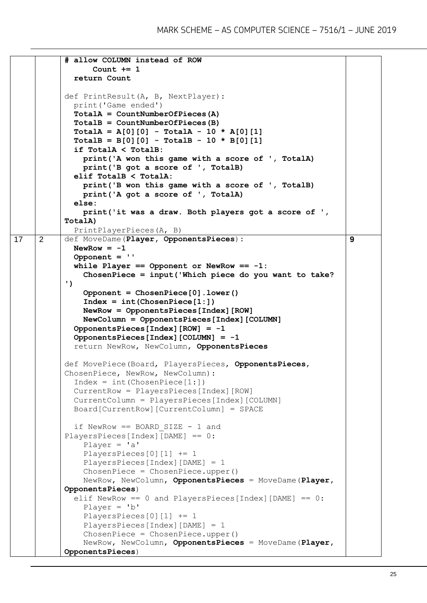```
# allow COLUMN instead of ROW
                  Count += 1
              return Count
           def PrintResult(A, B, NextPlayer):
             print('Game ended')
              TotalA = CountNumberOfPieces(A)
              TotalB = CountNumberOfPieces(B)
              TotalA = A[0][0] - TotalA - 10 * A[0][1]
             TotalB = B[0][0] - TotalB - 10 * B[0][1]
              if TotalA < TotalB:
                print('A won this game with a score of ', TotalA)
                print('B got a score of ', TotalB)
              elif TotalB < TotalA:
                print('B won this game with a score of ', TotalB)
                print('A got a score of ', TotalA)
              else:
                print('it was a draw. Both players got a score of ', 
           TotalA) 
              PrintPlayerPieces(A, B)
17 2 def MoveDame(Player, OpponentsPieces):
            NewRow = -1 Opponent = ''
             while Player == Opponent or NewRow == -1:
                ChosenPiece = input('Which piece do you want to take? 
           ')
                Opponent = ChosenPiece[0].lower()
                Index = int(ChosenPiece[1:])
                NewRow = OpponentsPieces[Index][ROW]
                NewColumn = OpponentsPieces[Index][COLUMN]
             OpponentsPieces[Index][ROW] = -1
              OpponentsPieces[Index][COLUMN] = -1
              return NewRow, NewColumn, OpponentsPieces
           def MovePiece(Board, PlayersPieces, OpponentsPieces, 
           ChosenPiece, NewRow, NewColumn):
             Index = int(ChosenPiece[1:]) CurrentRow = PlayersPieces[Index][ROW]
             CurrentColumn = PlayersPieces[Index][COLUMN]
             Board[CurrentRow][CurrentColumn] = SPACE
             if NewRow == BOARD SIZE - 1 and
           PlayersPieces[Index][DAME] == 0: 
                Player = 'a'
                PlayersPieces[0][1] += 1
                PlayersPieces[Index][DAME] = 1
                ChosenPiece = ChosenPiece.upper()
                NewRow, NewColumn, OpponentsPieces = MoveDame(Player, 
           OpponentsPieces) 
             elif NewRow == 0 and PlayersPieces[Index][DAME] == 0:
                Player = 'b'
                PlayersPieces[0][1] += 1
                PlayersPieces[Index][DAME] = 1
                ChosenPiece = ChosenPiece.upper()
                NewRow, NewColumn, OpponentsPieces = MoveDame(Player, 
           OpponentsPieces)
                                                                          9
```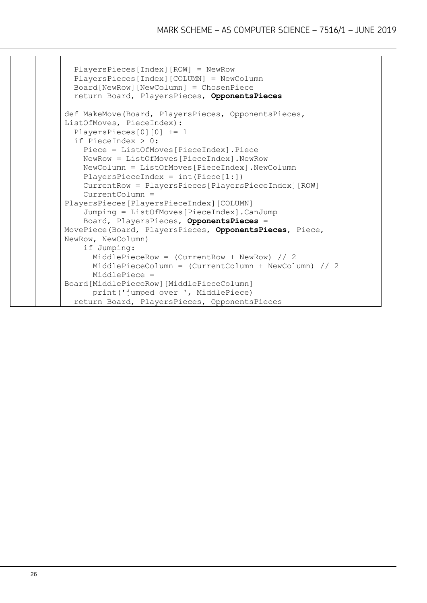```
 PlayersPieces[Index][ROW] = NewRow
   PlayersPieces[Index][COLUMN] = NewColumn
   Board[NewRow][NewColumn] = ChosenPiece 
   return Board, PlayersPieces, OpponentsPieces
def MakeMove(Board, PlayersPieces, OpponentsPieces, 
ListOfMoves, PieceIndex):
   PlayersPieces[0][0] += 1
   if PieceIndex > 0:
     Piece = ListOfMoves[PieceIndex].Piece
     NewRow = ListOfMoves[PieceIndex].NewRow
     NewColumn = ListOfMoves[PieceIndex].NewColumn
    PlayersPieceIndex = int(Piece[1:]) CurrentRow = PlayersPieces[PlayersPieceIndex][ROW]
     CurrentColumn = 
PlayersPieces[PlayersPieceIndex][COLUMN]
     Jumping = ListOfMoves[PieceIndex].CanJump
     Board, PlayersPieces, OpponentsPieces = 
MovePiece(Board, PlayersPieces, OpponentsPieces, Piece, 
NewRow, NewColumn)
     if Jumping:
       MiddlePieceRow = (CurrentRow + NewRow) // 2
       MiddlePieceColumn = (CurrentColumn + NewColumn) // 2
       MiddlePiece = 
Board[MiddlePieceRow][MiddlePieceColumn]
       print('jumped over ', MiddlePiece)
   return Board, PlayersPieces, OpponentsPieces
```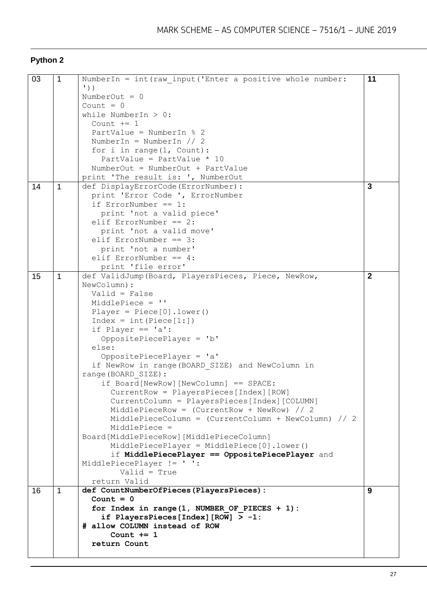# **Python 2**

| 03 | 1            | NumberIn = int (raw input ('Enter a positive whole number: | 11           |
|----|--------------|------------------------------------------------------------|--------------|
|    |              | $\prime$ ))                                                |              |
|    |              | NumberOut = $0$                                            |              |
|    |              | Count = $0$                                                |              |
|    |              | while NumberIn $> 0$ :                                     |              |
|    |              | Count $+= 1$                                               |              |
|    |              | PartValue = NumberIn $% 2$                                 |              |
|    |              |                                                            |              |
|    |              | NumberIn = NumberIn $// 2$                                 |              |
|    |              | for $i$ in range( $1$ , Count):                            |              |
|    |              | PartValue = PartValue $* 10$                               |              |
|    |              | NumberOut = NumberOut + PartValue                          |              |
|    |              | print 'The result is: ', NumberOut                         |              |
| 14 | $\mathbf{1}$ | def DisplayErrorCode(ErrorNumber):                         | 3            |
|    |              | print 'Error Code ', ErrorNumber                           |              |
|    |              | if ErrorNumber == $1$ :                                    |              |
|    |              | print 'not a valid piece'                                  |              |
|    |              | elif ErrorNumber == $2$ :                                  |              |
|    |              |                                                            |              |
|    |              | print 'not a valid move'                                   |              |
|    |              | elif ErrorNumber == $3:$                                   |              |
|    |              | print 'not a number'                                       |              |
|    |              | elif ErrorNumber == $4$ :                                  |              |
|    |              | print 'file error'                                         |              |
| 15 | 1            | def ValidJump (Board, PlayersPieces, Piece, NewRow,        | $\mathbf{2}$ |
|    |              | NewColumn) :                                               |              |
|    |              | $Valid = False$                                            |              |
|    |              | MiddlePiece = ''                                           |              |
|    |              | Player = $Piece[0]$ . lower()                              |              |
|    |              | $Index = int(Piece[1:])$                                   |              |
|    |              |                                                            |              |
|    |              | if Player == $'a':$                                        |              |
|    |              | OppositePiecePlayer = 'b'                                  |              |
|    |              | else:                                                      |              |
|    |              | OppositePiecePlayer = 'a'                                  |              |
|    |              | if NewRow in range (BOARD SIZE) and NewColumn in           |              |
|    |              | range (BOARD SIZE) :                                       |              |
|    |              | if Board[NewRow][NewColumn] == SPACE:                      |              |
|    |              | CurrentRow = PlayersPieces[Index] [ROW]                    |              |
|    |              | CurrentColumn = PlayersPieces [Index] [COLUMN]             |              |
|    |              | MiddlePieceRow = $(CurrentRow + NewRow)$ // 2              |              |
|    |              | MiddlePieceColumn = (CurrentColumn + NewColumn) // 2       |              |
|    |              | MiddlePiece =                                              |              |
|    |              | Board[MiddlePieceRow][MiddlePieceColumn]                   |              |
|    |              |                                                            |              |
|    |              | $MiddlepiecePlayer = MiddlePiece[0].lower()$               |              |
|    |              | if MiddlePiecePlayer == OppositePiecePlayer and            |              |
|    |              | MiddlePiecePlayer != ' ':                                  |              |
|    |              | $Valid = True$                                             |              |
|    |              | return Valid                                               |              |
| 16 | 1            | def CountNumberOfPieces(PlayersPieces):                    | 9            |
|    |              | Count = $0$                                                |              |
|    |              | for Index in range $(1,$ NUMBER OF PIECES + 1):            |              |
|    |              | if PlayersPieces[Index][ROW] $> -1$ :                      |              |
|    |              | # allow COLUMN instead of ROW                              |              |
|    |              | Count $+= 1$                                               |              |
|    |              | return Count                                               |              |
|    |              |                                                            |              |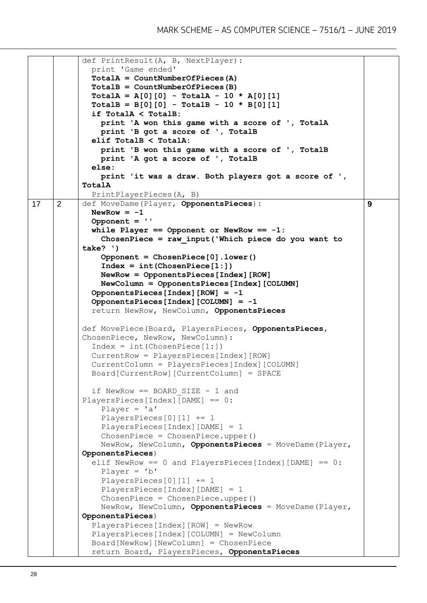|    |   | def PrintResult (A, B, NextPlayer) :                         |   |
|----|---|--------------------------------------------------------------|---|
|    |   | print 'Game ended'                                           |   |
|    |   | $TotalA = CountNumberOfPieces (A)$                           |   |
|    |   | $TotalB = CountNumberOfPieces (B)$                           |   |
|    |   | $TotalA = A[0][0] - TotalA - 10 * A[0][1]$                   |   |
|    |   | $TotalB = B[0][0] - TotalB - 10 * B[0][1]$                   |   |
|    |   | if TotalA < TotalB:                                          |   |
|    |   | print 'A won this game with a score of ', TotalA             |   |
|    |   | print 'B got a score of ', TotalB                            |   |
|    |   | elif TotalB < TotalA:                                        |   |
|    |   | print 'B won this game with a score of ', TotalB             |   |
|    |   | print 'A got a score of ', TotalB                            |   |
|    |   | else:                                                        |   |
|    |   | print 'it was a draw. Both players got a score of ',         |   |
|    |   | TotalA                                                       |   |
|    |   | PrintPlayerPieces(A, B)                                      |   |
| 17 | 2 | def MoveDame(Player, OpponentsPieces):                       | 9 |
|    |   | NewRow = $-1$                                                |   |
|    |   | Opponent $=$ $\cdot$                                         |   |
|    |   | while Player == Opponent or NewRow == $-1$ :                 |   |
|    |   | ChosenPiece = $raw input('Which piece do you want to')$      |   |
|    |   | $take?$ ')                                                   |   |
|    |   | Opponent = $ChosenPiece[0]$ . lower()                        |   |
|    |   | $Index = int(ChosenPiece[1:])$                               |   |
|    |   | $NewRow = OpponentsPieces[Index][ROW]$                       |   |
|    |   | NewColumn = OpponentsPieces [Index] [COLUMN]                 |   |
|    |   | OpponentsPieces[Index] $[ROW] = -1$                          |   |
|    |   | OpponentsPieces[Index][COLUMN] = -1                          |   |
|    |   |                                                              |   |
|    |   | return NewRow, NewColumn, OpponentsPieces                    |   |
|    |   | def MovePiece (Board, PlayersPieces, OpponentsPieces,        |   |
|    |   | ChosenPiece, NewRow, NewColumn):                             |   |
|    |   | $Index = int(ChosenPiece[1:])$                               |   |
|    |   | CurrentRow = PlayersPieces[Index] [ROW]                      |   |
|    |   |                                                              |   |
|    |   | CurrentColumn = PlayersPieces [Index] [COLUMN]               |   |
|    |   | Board [CurrentRow] [CurrentColumn] = SPACE                   |   |
|    |   | if NewRow == BOARD SIZE - 1 and                              |   |
|    |   | PlayersPieces[Index] [DAME] == $0$ :                         |   |
|    |   | Player = $'a'$                                               |   |
|    |   | PlayersPieces $[0][1]$ += 1                                  |   |
|    |   | PlayersPieces[Index][DAME] = $1$                             |   |
|    |   | $ChosenPiece = ChosenPiece.upper()$                          |   |
|    |   | NewRow, NewColumn, OpponentsPieces = MoveDame (Player,       |   |
|    |   | OpponentsPieces)                                             |   |
|    |   | elif NewRow == $0$ and PlayersPieces [Index] [DAME] == $0$ : |   |
|    |   | Player = $'b'$                                               |   |
|    |   | PlayersPieces $[0][1]$ += 1                                  |   |
|    |   | PlayersPieces[Index] [DAME] = $1$                            |   |
|    |   | $ChosenPiece = ChosenPiece.upper()$                          |   |
|    |   | NewRow, NewColumn, OpponentsPieces = MoveDame (Player,       |   |
|    |   | OpponentsPieces)                                             |   |
|    |   | $PlayersPieces[Index][ROW] = NewRow$                         |   |
|    |   | PlayersPieces[Index][COLUMN] = NewColumn                     |   |
|    |   | Board[NewRow] [NewColumn] = ChosenPiece                      |   |
|    |   | return Board, PlayersPieces, OpponentsPieces                 |   |
|    |   |                                                              |   |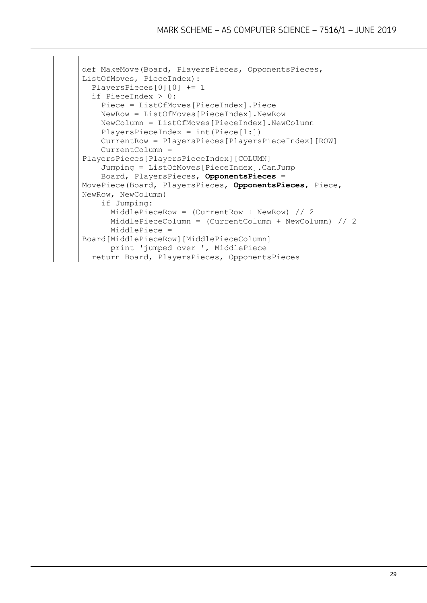```
def MakeMove(Board, PlayersPieces, OpponentsPieces, 
ListOfMoves, PieceIndex):
   PlayersPieces[0][0] += 1
   if PieceIndex > 0:
     Piece = ListOfMoves[PieceIndex].Piece
     NewRow = ListOfMoves[PieceIndex].NewRow
     NewColumn = ListOfMoves[PieceIndex].NewColumn
    PlayersPieceIndex = int(Piece[1:]) CurrentRow = PlayersPieces[PlayersPieceIndex][ROW]
     CurrentColumn = 
PlayersPieces[PlayersPieceIndex][COLUMN]
     Jumping = ListOfMoves[PieceIndex].CanJump
     Board, PlayersPieces, OpponentsPieces = 
MovePiece(Board, PlayersPieces, OpponentsPieces, Piece, 
NewRow, NewColumn)
     if Jumping:
       MiddlePieceRow = (CurrentRow + NewRow) // 2
       MiddlePieceColumn = (CurrentColumn + NewColumn) // 2
       MiddlePiece = 
Board[MiddlePieceRow][MiddlePieceColumn]
       print 'jumped over ', MiddlePiece
   return Board, PlayersPieces, OpponentsPieces
```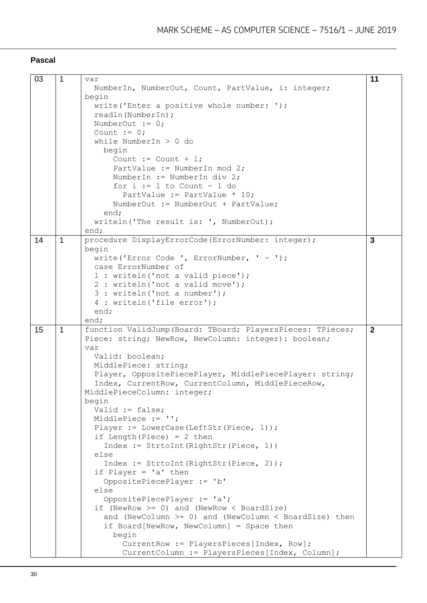#### **Pascal**

| 03 | $\mathbf{1}$ | var                                                                                         | 11           |
|----|--------------|---------------------------------------------------------------------------------------------|--------------|
|    |              | NumberIn, NumberOut, Count, PartValue, i: integer;                                          |              |
|    |              | begin                                                                                       |              |
|    |              | write ('Enter a positive whole number: ');                                                  |              |
|    |              | readln(NumberIn);                                                                           |              |
|    |              | NumberOut $:= 0;$                                                                           |              |
|    |              | Count $:= 0;$                                                                               |              |
|    |              |                                                                                             |              |
|    |              | while NumberIn $> 0$ do                                                                     |              |
|    |              | begin                                                                                       |              |
|    |              | Count := Count + 1;                                                                         |              |
|    |              | PartValue := NumberIn mod 2;                                                                |              |
|    |              | NumberIn := NumberIn div 2;                                                                 |              |
|    |              | for $i := 1$ to Count - 1 do                                                                |              |
|    |              | PartValue := PartValue $* 10$ ;                                                             |              |
|    |              | NumberOut := NumberOut + PartValue;                                                         |              |
|    |              | end;                                                                                        |              |
|    |              | writeln ('The result is: ', NumberOut);                                                     |              |
|    |              | end;                                                                                        |              |
| 14 | $\mathbf{1}$ | procedure DisplayErrorCode (ErrorNumber: integer);                                          | 3            |
|    |              | begin                                                                                       |              |
|    |              | write('Error Code ', ErrorNumber, ' - ');                                                   |              |
|    |              | case ErrorNumber of                                                                         |              |
|    |              | 1 : writeln ('not a valid piece');                                                          |              |
|    |              | 2 : writeln ('not a valid move');                                                           |              |
|    |              | 3 : writeln ('not a number');                                                               |              |
|    |              | 4 : writeln ('file error');                                                                 |              |
|    |              | end;                                                                                        |              |
|    |              | end;                                                                                        |              |
|    |              |                                                                                             |              |
| 15 | $\mathbf{1}$ | function ValidJump (Board: TBoard; PlayersPieces: TPieces;                                  | $\mathbf{2}$ |
|    |              |                                                                                             |              |
|    |              | Piece: string; NewRow, NewColumn: integer): boolean;<br>var                                 |              |
|    |              | Valid: boolean;                                                                             |              |
|    |              | MiddlePiece: string;                                                                        |              |
|    |              |                                                                                             |              |
|    |              | Player, OppositePiecePlayer, MiddlePiecePlayer: string;                                     |              |
|    |              | Index, CurrentRow, CurrentColumn, MiddlePieceRow,                                           |              |
|    |              | MiddlePieceColumn: integer;                                                                 |              |
|    |              | begin                                                                                       |              |
|    |              | Valid $:=$ false;                                                                           |              |
|    |              | MiddlePiece := '';                                                                          |              |
|    |              | Player := LowerCase(LeftStr(Piece, 1));                                                     |              |
|    |              | if Length (Piece) = $2$ then                                                                |              |
|    |              | Index := StrtoInt (RightStr (Piece, 1))                                                     |              |
|    |              | else                                                                                        |              |
|    |              | Index := StrtoInt (RightStr (Piece, 2));                                                    |              |
|    |              | if Player = $'a'$ then                                                                      |              |
|    |              | OppositePiecePlayer := 'b'                                                                  |              |
|    |              | else                                                                                        |              |
|    |              | OppositePiecePlayer := 'a';                                                                 |              |
|    |              | if (NewRow $>= 0$ ) and (NewRow < BoardSize)                                                |              |
|    |              | and (NewColumn $>= 0$ ) and (NewColumn $<$ BoardSize) then                                  |              |
|    |              | if Board[NewRow, NewColumn] = Space then                                                    |              |
|    |              | begin                                                                                       |              |
|    |              | CurrentRow := PlayersPieces[Index, Row];<br>CurrentColumn := PlayersPieces [Index, Column]; |              |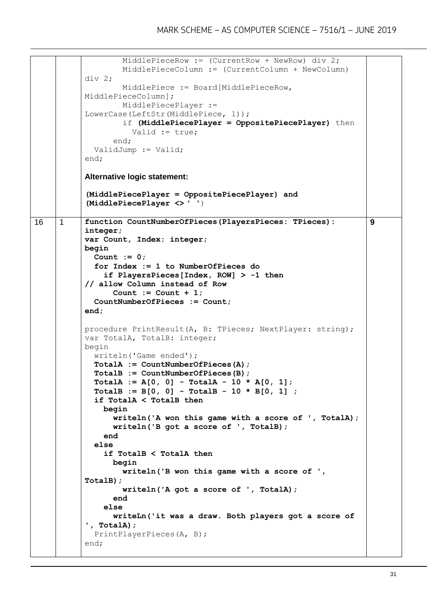```
 MiddlePieceRow := (CurrentRow + NewRow) div 2;
                    MiddlePieceColumn := (CurrentColumn + NewColumn) 
           div 2;
                    MiddlePiece := Board[MiddlePieceRow, 
           MiddlePieceColumn];
                    MiddlePiecePlayer := 
           LowerCase(LeftStr(MiddlePiece, 1));
                    if (MiddlePiecePlayer = OppositePiecePlayer) then
                      Valid := true;
                  end;
              ValidJump := Valid;
           end; 
           Alternative logic statement:
           (MiddlePiecePlayer = OppositePiecePlayer) and 
           (MiddlePiecePlayer <> ' ')
16 |1 | function CountNumberOfPieces(PlayersPieces: TPieces):
           integer;
           var Count, Index: integer;
           begin
              Count := 0;
              for Index := 1 to NumberOfPieces do
                if PlayersPieces[Index, ROW] > -1 then
           // allow Column instead of Row
                 Count := Count +1;
              CountNumberOfPieces := Count;
           end;
           procedure PrintResult(A, B: TPieces; NextPlayer: string);
           var TotalA, TotalB: integer;
           begin
              writeln('Game ended');
              TotalA := CountNumberOfPieces(A);
              TotalB := CountNumberOfPieces(B);
              TotalA := A[0, 0] - TotalA - 10 * A[0, 1];
              TotalB := B[0, 0] - TotalB - 10 * B[0, 1] ;
              if TotalA < TotalB then
                begin
                  writeln('A won this game with a score of ', TotalA);
                  writeln('B got a score of ', TotalB);
                end
              else
                if TotalB < TotalA then
                  begin
                    writeln('B won this game with a score of ', 
           TotalB);
                    writeln('A got a score of ', TotalA);
                  end
                else
                  writeLn('it was a draw. Both players got a score of 
           ', TotalA);
              PrintPlayerPieces(A, B);
           end;
                                                                           9
```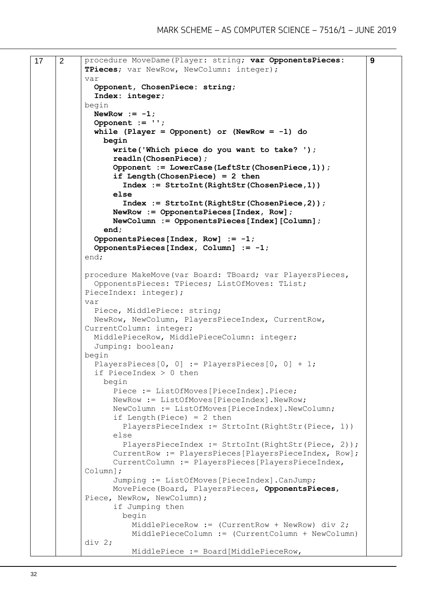```
17 | 2 | procedure MoveDame (Player: string; var OpponentsPieces:
           TPieces; var NewRow, NewColumn: integer);
           var
              Opponent, ChosenPiece: string;
              Index: integer;
           begin
             NewRow := -1; Opponent := '';
              while (Player = Opponent) or (NewRow = -1) do
                begin
                  write('Which piece do you want to take? ');
                  readln(ChosenPiece);
                  Opponent := LowerCase(LeftStr(ChosenPiece,1));
                  if Length(ChosenPiece) = 2 then
                    Index := StrtoInt(RightStr(ChosenPiece,1))
                  else
                    Index := StrtoInt(RightStr(ChosenPiece,2));
                  NewRow := OpponentsPieces[Index, Row];
                  NewColumn := OpponentsPieces[Index][Column];
                end;
              OpponentsPieces[Index, Row] := -1;
              OpponentsPieces[Index, Column] := -1;
           end;
           procedure MakeMove(var Board: TBoard; var PlayersPieces,
              OpponentsPieces: TPieces; ListOfMoves: TList; 
           PieceIndex: integer);
           var
              Piece, MiddlePiece: string;
              NewRow, NewColumn, PlayersPieceIndex, CurrentRow, 
           CurrentColumn: integer;
              MiddlePieceRow, MiddlePieceColumn: integer;
              Jumping: boolean;
           begin
             PlayersPieces[0, 0] := PlayersPieces[0, 0] + 1;
              if PieceIndex > 0 then
                begin
                  Piece := ListOfMoves[PieceIndex].Piece;
                  NewRow := ListOfMoves[PieceIndex].NewRow;
                  NewColumn := ListOfMoves[PieceIndex].NewColumn;
                 if Length(Piece) = 2 then
                    PlayersPieceIndex := StrtoInt(RightStr(Piece, 1))
                  else
                   PlayersPieceIndex := StrtoInt(RightStr(Piece, 2));
                  CurrentRow := PlayersPieces[PlayersPieceIndex, Row];
                  CurrentColumn := PlayersPieces[PlayersPieceIndex, 
           Column];
                  Jumping := ListOfMoves[PieceIndex].CanJump;
                  MovePiece(Board, PlayersPieces, OpponentsPieces, 
           Piece, NewRow, NewColumn);
                  if Jumping then
                    begin
                      MiddlePieceRow := (CurrentRow + NewRow) div 2;
                      MiddlePieceColumn := (CurrentColumn + NewColumn) 
           div 2;
                      MiddlePiece := Board[MiddlePieceRow, 
                                                                          9
```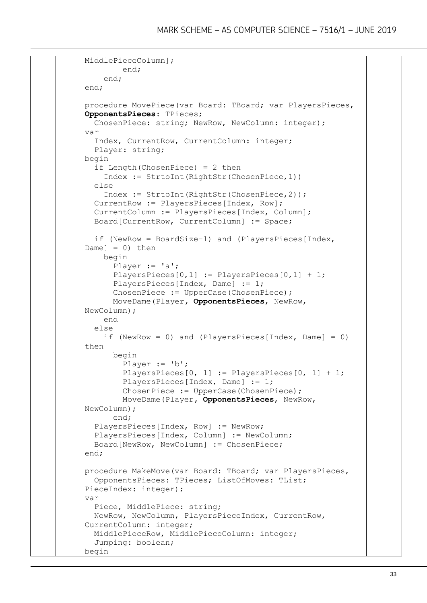```
MiddlePieceColumn];
         end;
     end;
end;
procedure MovePiece(var Board: TBoard; var PlayersPieces, 
OpponentsPieces: TPieces;
   ChosenPiece: string; NewRow, NewColumn: integer);
var
   Index, CurrentRow, CurrentColumn: integer;
   Player: string;
begin
   if Length(ChosenPiece) = 2 then
     Index := StrtoInt(RightStr(ChosenPiece,1))
   else
     Index := StrtoInt(RightStr(ChosenPiece,2));
   CurrentRow := PlayersPieces[Index, Row];
   CurrentColumn := PlayersPieces[Index, Column];
   Board[CurrentRow, CurrentColumn] := Space;
   if (NewRow = BoardSize-1) and (PlayersPieces[Index, 
Damel = 0) then
     begin
       Player := 'a';
       PlayersPieces[0,1] := PlayersPieces[0,1] + 1;
       PlayersPieces[Index, Dame] := 1;
       ChosenPiece := UpperCase(ChosenPiece);
       MoveDame(Player, OpponentsPieces, NewRow, 
NewColumn);
     end
   else
    if (NewRow = 0) and (PlayersPieces[Index, Dame] = 0)
then
       begin
         Player := 'b';
         PlayersPieces[0, 1] := PlayersPieces[0, 1] + 1;
         PlayersPieces[Index, Dame] := 1;
         ChosenPiece := UpperCase(ChosenPiece);
         MoveDame(Player, OpponentsPieces, NewRow, 
NewColumn);
       end;
   PlayersPieces[Index, Row] := NewRow;
  PlayersPieces[Index, Column] := NewColumn;
   Board[NewRow, NewColumn] := ChosenPiece;
end; 
procedure MakeMove(var Board: TBoard; var PlayersPieces,
  OpponentsPieces: TPieces; ListOfMoves: TList; 
PieceIndex: integer);
var
   Piece, MiddlePiece: string;
   NewRow, NewColumn, PlayersPieceIndex, CurrentRow, 
CurrentColumn: integer;
   MiddlePieceRow, MiddlePieceColumn: integer;
   Jumping: boolean;
begin
```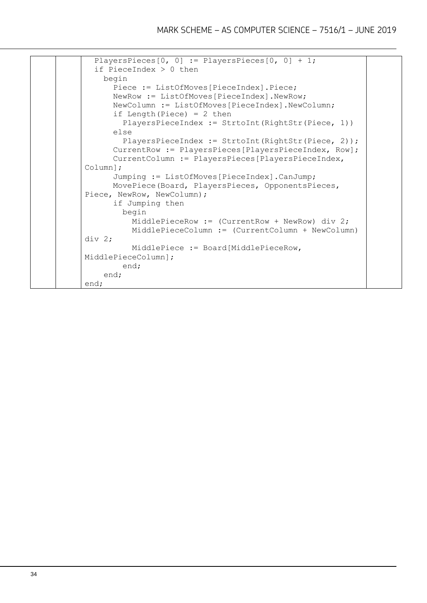```
PlayersPieces[0, 0] := PlayersPieces[0, 0] + 1;
   if PieceIndex > 0 then
     begin
       Piece := ListOfMoves[PieceIndex].Piece;
       NewRow := ListOfMoves[PieceIndex].NewRow;
       NewColumn := ListOfMoves[PieceIndex].NewColumn;
      if Length(Piece) = 2 then
         PlayersPieceIndex := StrtoInt(RightStr(Piece, 1))
       else
        PlayersPieceIndex := StrtoInt(RightStr(Piece, 2));
       CurrentRow := PlayersPieces[PlayersPieceIndex, Row];
       CurrentColumn := PlayersPieces[PlayersPieceIndex, 
Column];
       Jumping := ListOfMoves[PieceIndex].CanJump;
       MovePiece(Board, PlayersPieces, OpponentsPieces, 
Piece, NewRow, NewColumn);
       if Jumping then
         begin
           MiddlePieceRow := (CurrentRow + NewRow) div 2;
           MiddlePieceColumn := (CurrentColumn + NewColumn) 
div 2;
           MiddlePiece := Board[MiddlePieceRow, 
MiddlePieceColumn];
         end;
     end;
end;
```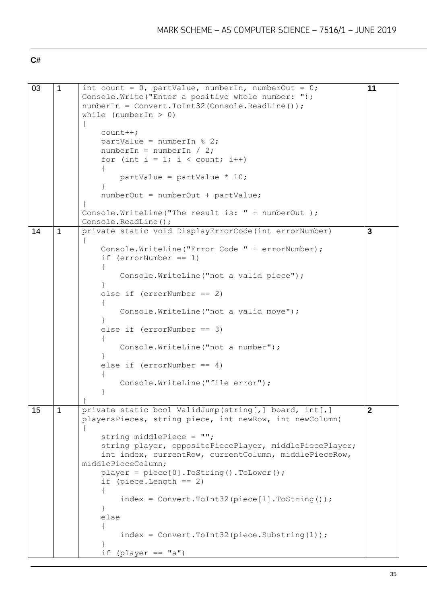#### **C#**

| 03 | $\mathbf{1}$ | int count = $0$ , partValue, numberIn, numberOut = $0$ ;<br>Console. Write ("Enter a positive whole number: ");<br>numberIn = Convert.ToInt32 (Console.ReadLine());<br>while (numberIn $> 0$ )<br>$\left\{ \right.$<br>$count++;$<br>partValue = numberIn $% 2;$<br>$numberIn = numberIn / 2;$<br>for (int $i = 1$ ; $i <$ count; $i+1$ ) | 11             |
|----|--------------|-------------------------------------------------------------------------------------------------------------------------------------------------------------------------------------------------------------------------------------------------------------------------------------------------------------------------------------------|----------------|
|    |              | partValue = partValue $* 10$ ;                                                                                                                                                                                                                                                                                                            |                |
|    |              | $numberOut = numberOut + partValue;$                                                                                                                                                                                                                                                                                                      |                |
|    |              | Console. WriteLine ("The result is: " + numberOut );<br>Console. ReadLine();                                                                                                                                                                                                                                                              |                |
| 14 | $\mathbf{1}$ | private static void DisplayErrorCode(int errorNumber)                                                                                                                                                                                                                                                                                     | 3              |
|    |              | Console. WriteLine ("Error Code " + errorNumber);<br>if $(errorNumber == 1)$                                                                                                                                                                                                                                                              |                |
|    |              | Console. WriteLine ("not a valid piece");                                                                                                                                                                                                                                                                                                 |                |
|    |              | else if $(errorNumber == 2)$                                                                                                                                                                                                                                                                                                              |                |
|    |              | Console. WriteLine ("not a valid move");                                                                                                                                                                                                                                                                                                  |                |
|    |              | else if $(errorNumber == 3)$                                                                                                                                                                                                                                                                                                              |                |
|    |              | Console. WriteLine ("not a number");                                                                                                                                                                                                                                                                                                      |                |
|    |              | else if $(errorNumber == 4)$                                                                                                                                                                                                                                                                                                              |                |
|    |              | Console. WriteLine ("file error");                                                                                                                                                                                                                                                                                                        |                |
|    |              |                                                                                                                                                                                                                                                                                                                                           |                |
| 15 | $\mathbf{1}$ | private static bool ValidJump(string[,] board, int[,]<br>playersPieces, string piece, int newRow, int newColumn)                                                                                                                                                                                                                          | $\overline{2}$ |
|    |              | string middlePiece = "";                                                                                                                                                                                                                                                                                                                  |                |
|    |              | string player, oppositePiecePlayer, middlePiecePlayer;<br>int index, currentRow, currentColumn, middlePieceRow,                                                                                                                                                                                                                           |                |
|    |              | middlePieceColumn;<br>$player = piece[0].Tostring() .ToLower();$                                                                                                                                                                                                                                                                          |                |
|    |              | if (piece.Length $==$ 2)                                                                                                                                                                                                                                                                                                                  |                |
|    |              | $\mathcal{L}$<br>$index = Convert.Tolnt32(piece[1].Toltring())$ ;                                                                                                                                                                                                                                                                         |                |
|    |              | else                                                                                                                                                                                                                                                                                                                                      |                |
|    |              | $index = Convert.Tolnt32 (piece.Substring(1));$                                                                                                                                                                                                                                                                                           |                |
|    |              | if (player == $"a")$                                                                                                                                                                                                                                                                                                                      |                |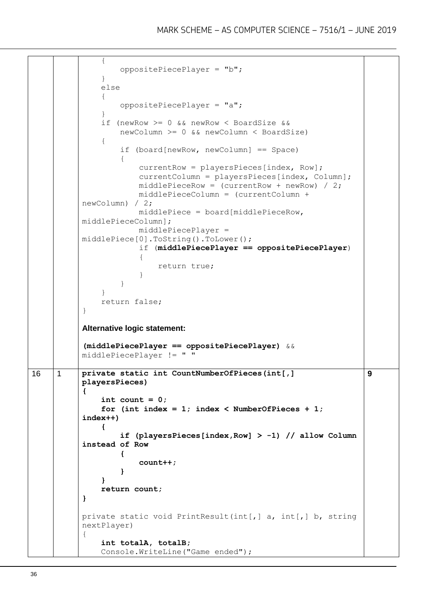```
 {
                    oppositePiecePlayer = "b";
                }
                else
                {
                    oppositePiecePlayer = "a";
                }
                if (newRow >= 0 && newRow < BoardSize &&
                    newColumn >= 0 && newColumn < BoardSize)
           \left\{\begin{array}{ccc} \end{array}\right\} if (board[newRow, newColumn] == Space)
                     {
                         currentRow = playersPieces[index, Row];
                         currentColumn = playersPieces[index, Column];
                        middlePieceRow = (currentRow + newRow) / 2;
                        middlePieceColumn = (currentColumn + 
           newColumn) / 2;
                         middlePiece = board[middlePieceRow, 
           middlePieceColumn];
                        middlePiecePlayer = 
           middlePiece[0].ToString().ToLower();
                         if (middlePiecePlayer == oppositePiecePlayer)
            {
                             return true;
            }
                    }
                }
                return false;
           }
           Alternative logic statement:
           (middlePiecePlayer == oppositePiecePlayer) && 
           middlePiecePlayer != " "
16 1 private static int CountNumberOfPieces(int[,]
           playersPieces)
           {
                int count = 0;
               for (int index = 1; index < NumberOfPieces + 1;
           index++)
                {
                    if (playersPieces[index,Row] > -1) // allow Column 
           instead of Row
            {
                         count++;
            }
                }
                return count;
           }
           private static void PrintResult(int[,] a, int[,] b, string 
           nextPlayer)
           {
                int totalA, totalB;
                Console.WriteLine("Game ended");
                                                                            9
```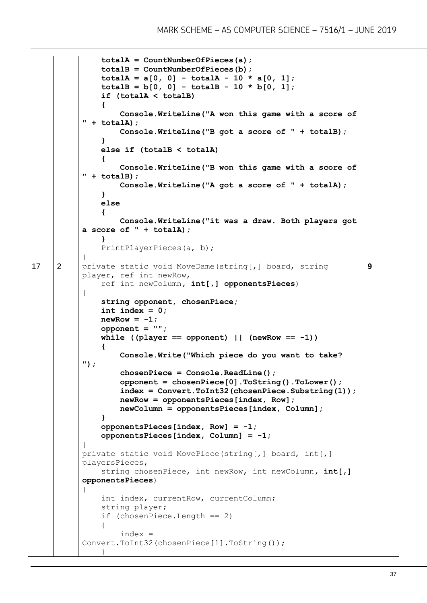```
 totalA = CountNumberOfPieces(a);
                 totalB = CountNumberOfPieces(b);
                \text{totalA} = a[0, 0] - \text{totalA} - 10 * a[0, 1];\text{totalB} = b[0, 0] - \text{totalB} - 10 * b[0, 1]; if (totalA < totalB)
                 {
                     Console.WriteLine("A won this game with a score of 
           " + totalA);
                     Console.WriteLine("B got a score of " + totalB);
            }
                 else if (totalB < totalA)
                 {
                     Console.WriteLine("B won this game with a score of 
           " + totalB);
                     Console.WriteLine("A got a score of " + totalA);
                 }
                else
            {
                     Console.WriteLine("it was a draw. Both players got 
           a score of " + totalA);
                 }
                 PrintPlayerPieces(a, b);
           }
17 2 private static void MoveDame(string[,] board, string
           player, ref int newRow, 
                 ref int newColumn, int[,] opponentsPieces)
           {
                 string opponent, chosenPiece;
                int index = 0;
               newRow = -1;
                 opponent = "";
                while ((player == opponent) || (newRow == -1)) {
                     Console.Write("Which piece do you want to take? 
           ");
                     chosenPiece = Console.ReadLine();
                     opponent = chosenPiece[0].ToString().ToLower();
                     index = Convert.ToInt32(chosenPiece.Substring(1));
                     newRow = opponentsPieces[index, Row];
                     newColumn = opponentsPieces[index, Column];
                 }
                 opponentsPieces[index, Row] = -1;
                 opponentsPieces[index, Column] = -1;
           }
           private static void MovePiece(string[,] board, int[,] 
           playersPieces,
                 string chosenPiece, int newRow, int newColumn, int[,] 
           opponentsPieces)
           {
                 int index, currentRow, currentColumn;
                 string player;
                 if (chosenPiece.Length == 2)
           \left\{\begin{array}{ccc} \end{array}\right\} index = 
           Convert.ToInt32(chosenPiece[1].ToString());
            }
                                                                             9
```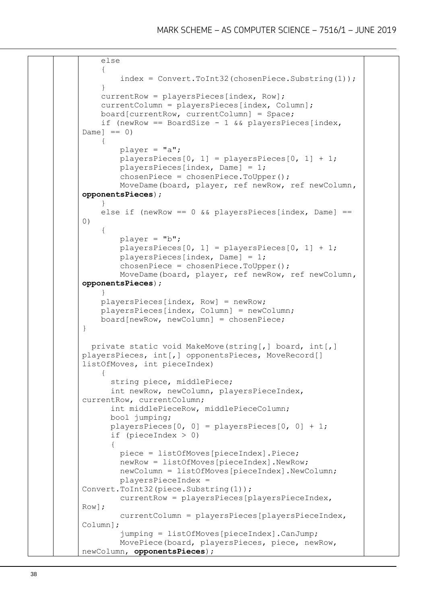```
 else
     {
          index = Convert.ToInt32(chosenPiece.Substring(1));
     }
     currentRow = playersPieces[index, Row];
     currentColumn = playersPieces[index, Column];
     board[currentRow, currentColumn] = Space;
    if (newRow == BoardSize - 1 && playersPieces[index,
Dame ] == 0\left\{\begin{array}{ccc} \end{array}\right\} player = "a";
        playersPieces[0, 1] = playersPieces[0, 1] + 1;
         playersPieces[index, Dame] = 1;
         chosenPiece = chosenPiece.ToUpper();
         MoveDame(board, player, ref newRow, ref newColumn, 
opponentsPieces);
     }
    else if (newRow == 0 \& b playersPieces[index, Dame] ==
(1) {
        player = "b";playersPieces[0, 1] = playersPieces[0, 1] + 1;playersPieces[index, Dame] = 1;
         chosenPiece = chosenPiece.ToUpper();
         MoveDame(board, player, ref newRow, ref newColumn, 
opponentsPieces);
     }
     playersPieces[index, Row] = newRow;
     playersPieces[index, Column] = newColumn;
    board[newRow, newColumn] = chosen Piece;}
   private static void MakeMove(string[,] board, int[,] 
playersPieces, int[,] opponentsPieces, MoveRecord[] 
listOfMoves, int pieceIndex)
\left\{\begin{array}{ccc} \end{array}\right\} string piece, middlePiece;
       int newRow, newColumn, playersPieceIndex, 
currentRow, currentColumn;
       int middlePieceRow, middlePieceColumn;
       bool jumping;
       playersPieces[0, 0] = playersPieces[0, 0] + 1;
       if (pieceIndex > 0)
 {
         piece = listOfMoves[pieceIndex].Piece;
         newRow = listOfMoves[pieceIndex].NewRow;
         newColumn = listOfMoves[pieceIndex].NewColumn;
         playersPieceIndex = 
Convert.ToInt32(piece.Substring(1));
         currentRow = playersPieces[playersPieceIndex, 
Row];
         currentColumn = playersPieces[playersPieceIndex, 
Column];
          jumping = listOfMoves[pieceIndex].CanJump;
         MovePiece(board, playersPieces, piece, newRow, 
newColumn, opponentsPieces);
```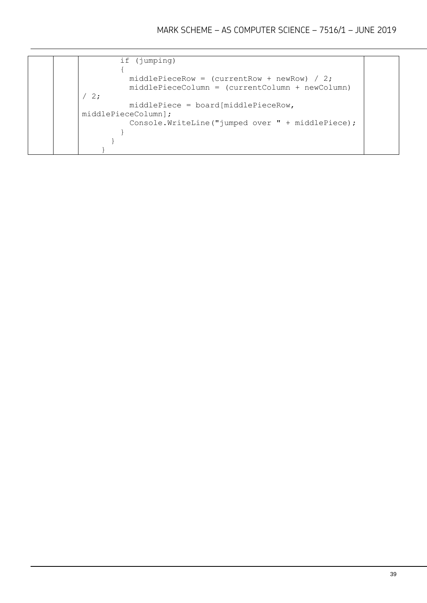```
 if (jumping)
         {
          middlePieceRow = (currentRow + newRow) / 2;
           middlePieceColumn = (currentColumn + newColumn) 
/2; middlePiece = board[middlePieceRow, 
middlePieceColumn];
           Console.WriteLine("jumped over " + middlePiece);
         }
       }
     }
```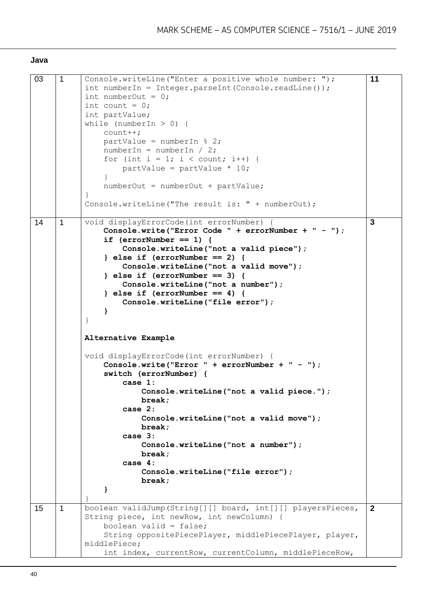#### **Java**

| 03<br>$\mathbf{1}$<br>Console.writeLine("Enter a positive whole number: ");<br>$int numberIn = Integer.parseInt(Console.readLine());$ | 11             |
|---------------------------------------------------------------------------------------------------------------------------------------|----------------|
|                                                                                                                                       |                |
|                                                                                                                                       |                |
| int numberOut = $0$ ;                                                                                                                 |                |
| int count = $0$ ;                                                                                                                     |                |
| int partValue;                                                                                                                        |                |
| while (numberIn $> 0$ ) {                                                                                                             |                |
|                                                                                                                                       |                |
| $count++;$                                                                                                                            |                |
| partValue = numberIn $% 2;$                                                                                                           |                |
| numberIn = numberIn / 2;                                                                                                              |                |
| for (int i = 1; i < count; i++) {                                                                                                     |                |
| partValue = partValue $*$ 10;                                                                                                         |                |
|                                                                                                                                       |                |
|                                                                                                                                       |                |
| $numberOut = numberOut + partValue;$                                                                                                  |                |
| $\}$                                                                                                                                  |                |
| Console.writeLine("The result is: " + numberOut);                                                                                     |                |
|                                                                                                                                       |                |
| void displayErrorCode(int errorNumber) {<br>14<br>1                                                                                   | 3              |
| Console.write("Error Code " + errorNumber + " - ");                                                                                   |                |
| if $(errorNumber == 1)$ {                                                                                                             |                |
|                                                                                                                                       |                |
| Console.writeLine("not a valid piece");                                                                                               |                |
| $\}$ else if (errorNumber == 2) {                                                                                                     |                |
| Console.writeLine("not a valid move");                                                                                                |                |
| } else if $(errorNumber == 3)$ {                                                                                                      |                |
| Console.writeLine("not a number");                                                                                                    |                |
| } else if $(errorNumber == 4)$ {                                                                                                      |                |
|                                                                                                                                       |                |
| Console.writeLine("file error");                                                                                                      |                |
| ł                                                                                                                                     |                |
| $\}$                                                                                                                                  |                |
|                                                                                                                                       |                |
| Alternative Example                                                                                                                   |                |
|                                                                                                                                       |                |
| void displayErrorCode(int errorNumber) {                                                                                              |                |
|                                                                                                                                       |                |
| Console.write("Error $" + errorNumber + " - ");$                                                                                      |                |
| switch (errorNumber) {                                                                                                                |                |
| case $1:$                                                                                                                             |                |
| Console.writeLine("not a valid piece.");                                                                                              |                |
| break;                                                                                                                                |                |
| case 2:                                                                                                                               |                |
|                                                                                                                                       |                |
| Console.writeLine("not a valid move");                                                                                                |                |
| break:                                                                                                                                |                |
| case 3:                                                                                                                               |                |
| Console.writeLine("not a number");                                                                                                    |                |
| break;                                                                                                                                |                |
| case 4:                                                                                                                               |                |
| Console.writeLine("file error");                                                                                                      |                |
|                                                                                                                                       |                |
| break;                                                                                                                                |                |
| }                                                                                                                                     |                |
|                                                                                                                                       |                |
| boolean validJump(String[][] board, int[][] playersPieces,<br>15<br>1                                                                 | $\overline{2}$ |
| String piece, int newRow, int newColumn) {                                                                                            |                |
| boolean valid = false;                                                                                                                |                |
|                                                                                                                                       |                |
| String oppositePiecePlayer, middlePiecePlayer, player,                                                                                |                |
| middlePiece;                                                                                                                          |                |
| int index, currentRow, currentColumn, middlePieceRow,                                                                                 |                |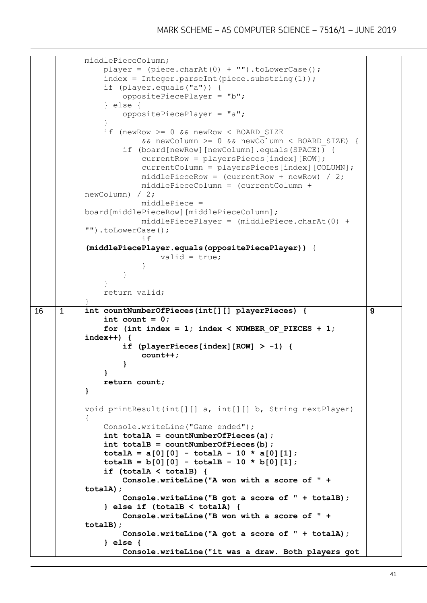```
middlePieceColumn;
                 player = (piece.charAt(0) + "") .tolowerCase();index = Integer.parseInt(piece.substring(1)); if (player.equals("a")) {
                       oppositePiecePlayer = "b";
                  } else {
                       oppositePiecePlayer = "a";
              }
                  if (newRow >= 0 && newRow < BOARD_SIZE
                            && newColumn >= 0 && newColumn < BOARD_SIZE) {
                       if (board[newRow][newColumn].equals(SPACE)) {
                            currentRow = playersPieces[index][ROW];
                            currentColumn = playersPieces[index][COLUMN];
                           middlePieceRow = (currentRow + newRow) / 2;
                           middlePieceColumn = (currentColumn + 
            newColumn) / 2;
                           middlePiece =
            board[middlePieceRow][middlePieceColumn];
                            middlePiecePlayer = (middlePiece.charAt(0) + 
             "").toLowerCase();
             if its state in the state of \mathbf{1} for \mathbf{1} for \mathbf{1} for \mathbf{1} for \mathbf{1} for \mathbf{1} for \mathbf{1} for \mathbf{1} for \mathbf{1} for \mathbf{1} for \mathbf{1} for \mathbf{1} for \mathbf{1} for \mathbf{1} for \mathbf{1} fo
             (middlePiecePlayer.equals(oppositePiecePlayer)) {
                                valid = true;
              }
              }
                  }
                  return valid;
             }
16 1 int countNumberOfPieces(int[][] playerPieces) {
                  int count = 0;
                 for (int index = 1; index < NUMBER OF PIECES + 1;
            index++) {
                       if (playerPieces[index][ROW] > -1) {
                            count++;
              }
                  }
                  return count;
            }
            void printResult(int[][] a, int[][] b, String nextPlayer) 
             {
                  Console.writeLine("Game ended");
                  int totalA = countNumberOfPieces(a);
                  int totalB = countNumberOfPieces(b);
                  totalA = a[0][0] - totalA - 10 * a[0][1];
                 \text{totalB} = b[0][0] - \text{totalB} - 10 * b[0][1]; if (totalA < totalB) {
                       Console.writeLine("A won with a score of " + 
            totalA);
                       Console.writeLine("B got a score of " + totalB);
                  } else if (totalB < totalA) {
                       Console.writeLine("B won with a score of " + 
            totalB);
                       Console.writeLine("A got a score of " + totalA);
                  } else {
                       Console.writeLine("it was a draw. Both players got 
                                                                                    9
```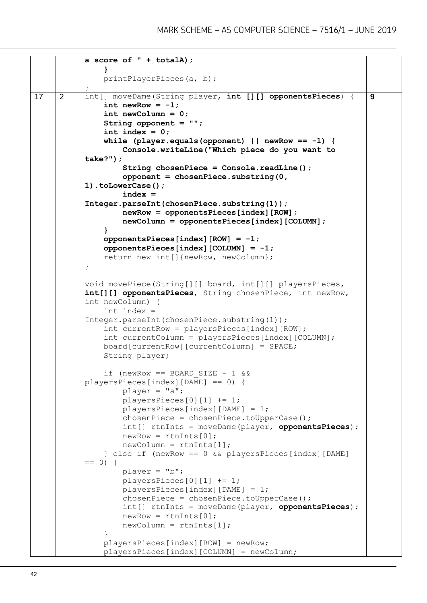```
a score of " + totalA);
                }
                printPlayerPieces(a, b);
           }
17 2 int[] moveDame(String player, int [][] opponentsPieces) {
               int newRow = -1;
                int newColumn = 0;
                String opponent = "";
                int index = 0;
                while (player.equals(opponent) || newRow == -1) { 
                    Console.writeLine("Which piece do you want to 
           take?");
                    String chosenPiece = Console.readLine();
                    opponent = chosenPiece.substring(0, 
           1).toLowerCase();
                    index = 
           Integer.parseInt(chosenPiece.substring(1));
                    newRow = opponentsPieces[index][ROW];
                    newColumn = opponentsPieces[index][COLUMN];
                }
                opponentsPieces[index][ROW] = -1;
                opponentsPieces[index][COLUMN] = -1;
                return new int[]{newRow, newColumn};
           }
           void movePiece(String[][] board, int[][] playersPieces, 
           int[][] opponentsPieces, String chosenPiece, int newRow, 
           int newColumn) {
                int index = 
           Integer.parseInt(chosenPiece.substring(1));
                int currentRow = playersPieces[index][ROW];
                int currentColumn = playersPieces[index][COLUMN];
                board[currentRow][currentColumn] = SPACE;
                String player;
               if (newRow == BOARD SIZE - 1 \&playersPieces[index][DAME] == 0) {
                   player = "a"; playersPieces[0][1] += 1;
                    playersPieces[index][DAME] = 1;
                    chosenPiece = chosenPiece.toUpperCase();
                    int[] rtnInts = moveDame(player, opponentsPieces);
                   newRow = rtnInts[0];newColumn = rtnInts[1]; } else if (newRow == 0 && playersPieces[index][DAME] 
           == 0) {
                    player = "b";
                    playersPieces[0][1] += 1;
                    playersPieces[index][DAME] = 1;
                    chosenPiece = chosenPiece.toUpperCase();
                    int[] rtnInts = moveDame(player, opponentsPieces);
                   newRow = rtnInts[0]; newColumn = rtnInts[1];
            }
                playersPieces[index][ROW] = newRow;
                playersPieces[index][COLUMN] = newColumn;
                                                                          9
```